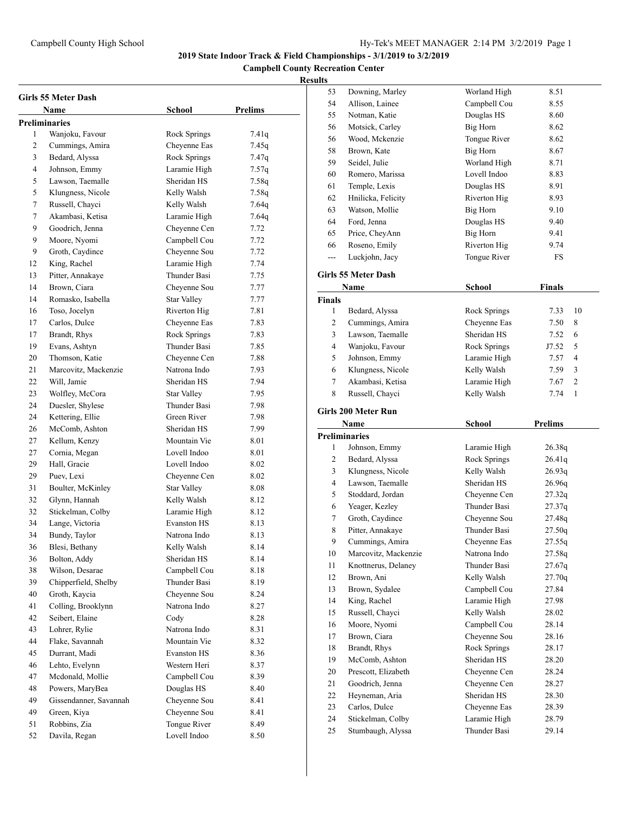**Campbell County Recreation Center**

|    | Girls 55 Meter Dash    |                    |                |
|----|------------------------|--------------------|----------------|
|    | Name                   | <b>School</b>      | <b>Prelims</b> |
|    | <b>Preliminaries</b>   |                    |                |
| 1  | Wanjoku, Favour        | Rock Springs       | 7.41q          |
| 2  | Cummings, Amira        | Cheyenne Eas       | 7.45q          |
| 3  | Bedard, Alyssa         | Rock Springs       | 7.47q          |
| 4  | Johnson, Emmy          | Laramie High       | 7.57q          |
| 5  | Lawson, Taemalle       | Sheridan HS        | 7.58q          |
| 5  | Klungness, Nicole      | Kelly Walsh        | 7.58q          |
| 7  | Russell, Chayci        | Kelly Walsh        | 7.64q          |
| 7  | Akambasi, Ketisa       | Laramie High       | 7.64q          |
| 9  | Goodrich, Jenna        | Cheyenne Cen       | 7.72           |
| 9  | Moore, Nyomi           | Campbell Cou       | 7.72           |
| 9  | Groth, Caydince        | Cheyenne Sou       | 7.72           |
| 12 | King, Rachel           | Laramie High       | 7.74           |
| 13 | Pitter, Annakaye       | Thunder Basi       | 7.75           |
| 14 | Brown, Ciara           | Cheyenne Sou       | 7.77           |
| 14 | Romasko, Isabella      | <b>Star Valley</b> | 7.77           |
| 16 | Toso, Jocelyn          | Riverton Hig       | 7.81           |
| 17 | Carlos, Dulce          | Cheyenne Eas       | 7.83           |
| 17 | Brandt, Rhys           | Rock Springs       | 7.83           |
| 19 | Evans, Ashtyn          | Thunder Basi       | 7.85           |
| 20 | Thomson, Katie         | Cheyenne Cen       | 7.88           |
| 21 | Marcovitz, Mackenzie   | Natrona Indo       | 7.93           |
| 22 | Will, Jamie            | Sheridan HS        | 7.94           |
| 23 | Wolfley, McCora        | <b>Star Valley</b> | 7.95           |
| 24 | Duesler, Shylese       | Thunder Basi       | 7.98           |
| 24 | Kettering, Ellie       | Green River        | 7.98           |
| 26 | McComb, Ashton         | Sheridan HS        | 7.99           |
| 27 | Kellum, Kenzy          | Mountain Vie       | 8.01           |
| 27 | Cornia, Megan          | Lovell Indoo       | 8.01           |
| 29 | Hall, Gracie           | Lovell Indoo       | 8.02           |
| 29 | Puev, Lexi             | Cheyenne Cen       | 8.02           |
| 31 | Boulter, McKinley      | <b>Star Valley</b> | 8.08           |
| 32 | Glynn, Hannah          | Kelly Walsh        | 8.12           |
| 32 | Stickelman, Colby      | Laramie High       | 8.12           |
| 34 | Lange, Victoria        | <b>Evanston HS</b> | 8.13           |
| 34 | Bundy, Taylor          | Natrona Indo       | 8.13           |
| 36 | Blesi. Bethany         | Kellv Walsh        | 8.14           |
| 36 | Bolton, Addy           | Sheridan HS        | 8.14           |
| 38 | Wilson, Desarae        | Campbell Cou       | 8.18           |
| 39 | Chipperfield, Shelby   | Thunder Basi       | 8.19           |
| 40 | Groth, Kaycia          | Cheyenne Sou       | 8.24           |
| 41 | Colling, Brooklynn     | Natrona Indo       | 8.27           |
| 42 | Seibert, Elaine        | Cody               | 8.28           |
| 43 | Lohrer, Rylie          | Natrona Indo       | 8.31           |
| 44 | Flake, Savannah        | Mountain Vie       | 8.32           |
| 45 | Durrant, Madi          | Evanston HS        | 8.36           |
| 46 | Lehto, Evelynn         | Western Heri       | 8.37           |
| 47 | Mcdonald, Mollie       | Campbell Cou       | 8.39           |
| 48 | Powers, MaryBea        | Douglas HS         | 8.40           |
| 49 | Gissendanner, Savannah | Cheyenne Sou       | 8.41           |
| 49 | Green, Kiya            | Cheyenne Sou       | 8.41           |
| 51 | Robbins, Zia           | Tongue River       | 8.49           |
| 52 | Davila, Regan          | Lovell Indoo       | 8.50           |

| 53            | Downing, Marley                       | Worland High    | 8.51                 |
|---------------|---------------------------------------|-----------------|----------------------|
| 54            | Allison, Lainee                       | Campbell Cou    | 8.55                 |
| 55            | Notman, Katie                         | Douglas HS      | 8.60                 |
| 56            | Motsick, Carley                       | <b>Big Horn</b> | 8.62                 |
| 56            | Wood, Mckenzie                        | Tongue River    | 8.62                 |
| 58            | Brown, Kate                           | Big Horn        | 8.67                 |
| 59            | Seidel, Julie                         | Worland High    | 8.71                 |
| 60            | Romero, Marissa                       | Lovell Indoo    | 8.83                 |
| 61            | Temple, Lexis                         | Douglas HS      | 8.91                 |
| 62            | Hnilicka, Felicity                    | Riverton Hig    | 8.93                 |
| 63            | Watson, Mollie                        | Big Horn        | 9.10                 |
| 64            | Ford, Jenna                           | Douglas HS      | 9.40                 |
| 65            | Price, CheyAnn                        | Big Horn        | 9.41                 |
| 66            | Roseno, Emily                         | Riverton Hig    | 9.74                 |
| ---           | Luckjohn, Jacy                        | Tongue River    | FS                   |
|               | Girls 55 Meter Dash                   |                 |                      |
|               | Name                                  | <b>School</b>   | Finals               |
| <b>Finals</b> |                                       |                 |                      |
| 1             | Bedard, Alyssa                        | Rock Springs    | 7.33<br>10           |
| 2             | Cummings, Amira                       | Cheyenne Eas    | 8<br>7.50            |
| 3             | Lawson, Taemalle                      | Sheridan HS     | 7.52<br>6            |
| 4             | Wanjoku, Favour                       | Rock Springs    | 5<br>J7.52           |
| 5             | Johnson, Emmy                         | Laramie High    | 4<br>7.57            |
| 6             | Klungness, Nicole                     | Kelly Walsh     | 3<br>7.59            |
| 7             | Akambasi, Ketisa                      | Laramie High    | 2<br>7.67            |
| 8             | Russell, Chayci                       | Kelly Walsh     | $\mathbf{1}$<br>7.74 |
|               | Girls 200 Meter Run                   |                 |                      |
|               |                                       |                 |                      |
|               | Name                                  |                 |                      |
|               |                                       | School          | <b>Prelims</b>       |
| 1             | <b>Preliminaries</b><br>Johnson, Emmy | Laramie High    | 26.38q               |
| 2             | Bedard, Alyssa                        | Rock Springs    | 26.41q               |
| 3             | Klungness, Nicole                     | Kelly Walsh     | 26.93q               |
| 4             | Lawson, Taemalle                      | Sheridan HS     | 26.96q               |
| 5             | Stoddard, Jordan                      | Cheyenne Cen    | 27.32q               |
| 6             | Yeager, Kezley                        | Thunder Basi    | 27.37q               |
| 7             | Groth, Caydince                       | Cheyenne Sou    | 27.48q               |
| 8             | Pitter, Annakaye                      | Thunder Basi    | 27.50q               |
| 9             | Cummings, Amira                       | Cheyenne Eas    | 27.55q               |
| 10            | Marcovitz, Mackenzie                  | Natrona Indo    | 27.58q               |
| 11            | Knottnerus, Delaney                   | Thunder Basi    | 27.67q               |
| 12            | Brown, Ani                            | Kelly Walsh     | 27.70q               |
| 13            | Brown, Sydalee                        | Campbell Cou    | 27.84                |
| 14            | King, Rachel                          | Laramie High    | 27.98                |
| 15            | Russell, Chayci                       | Kelly Walsh     | 28.02                |
| 16            | Moore, Nyomi                          | Campbell Cou    | 28.14                |
| 17            | Brown, Ciara                          | Cheyenne Sou    | 28.16                |
| 18            | Brandt, Rhys                          | Rock Springs    | 28.17                |
| 19            | McComb, Ashton                        | Sheridan HS     | 28.20                |
| 20            | Prescott, Elizabeth                   | Cheyenne Cen    | 28.24                |
| 21            | Goodrich, Jenna                       | Cheyenne Cen    | 28.27                |
| 22            | Heyneman, Aria                        | Sheridan HS     | 28.30                |
| 23            | Carlos, Dulce                         | Cheyenne Eas    | 28.39                |
| 24            | Stickelman, Colby                     | Laramie High    | 28.79                |
| 25            | Stumbaugh, Alyssa                     | Thunder Basi    | 29.14                |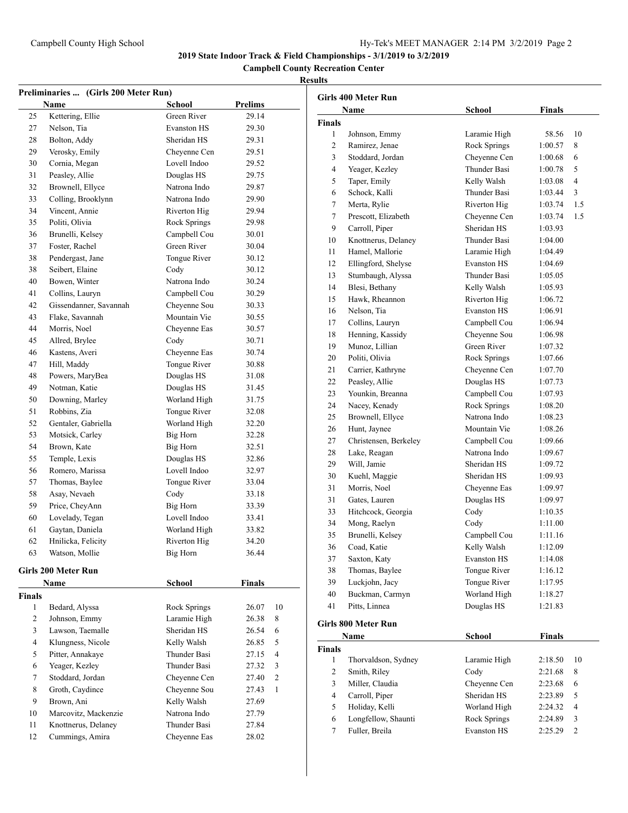# Campbell County High School Hy-Tek's MEET MANAGER 2:14 PM 3/2/2019 Page 2

**2019 State Indoor Track & Field Championships - 3/1/2019 to 3/2/2019**

## **Campbell County Recreation Center**

| Preliminaries  (Girls 200 Meter Run) |                        |                                 |                |                |  |
|--------------------------------------|------------------------|---------------------------------|----------------|----------------|--|
|                                      | Name                   | School                          | <b>Prelims</b> |                |  |
| 25                                   | Kettering, Ellie       | Green River                     | 29.14          |                |  |
| 27                                   | Nelson, Tia            | <b>Evanston HS</b>              | 29.30          |                |  |
| 28                                   | Bolton, Addy           | Sheridan HS                     | 29.31          |                |  |
| 29                                   | Verosky, Emily         | Chevenne Cen                    | 29.51          |                |  |
| 30                                   | Cornia, Megan          | Lovell Indoo                    | 29.52          |                |  |
| 31                                   | Peasley, Allie         | Douglas HS                      | 29.75          |                |  |
| 32                                   | Brownell, Ellyce       | Natrona Indo                    | 29.87          |                |  |
| 33                                   | Colling, Brooklynn     | Natrona Indo                    | 29.90          |                |  |
| 34                                   | Vincent, Annie         | Riverton Hig                    | 29.94          |                |  |
| 35                                   | Politi, Olivia         | Rock Springs                    | 29.98          |                |  |
| 36                                   | Brunelli, Kelsey       | Campbell Cou                    | 30.01          |                |  |
| 37                                   | Foster, Rachel         | Green River                     | 30.04          |                |  |
| 38                                   | Pendergast, Jane       | Tongue River                    | 30.12          |                |  |
| 38                                   | Seibert, Elaine        | Cody                            | 30.12          |                |  |
| 40                                   | Bowen, Winter          | Natrona Indo                    | 30.24          |                |  |
| 41                                   | Collins, Lauryn        | Campbell Cou                    | 30.29          |                |  |
| 42                                   | Gissendanner, Savannah | Chevenne Sou                    | 30.33          |                |  |
| 43                                   | Flake, Savannah        | Mountain Vie                    | 30.55          |                |  |
| 44                                   | Morris, Noel           | Cheyenne Eas                    | 30.57          |                |  |
| 45                                   | Allred, Brylee         | Cody                            | 30.71          |                |  |
| 46                                   | Kastens, Averi         | Cheyenne Eas                    | 30.74          |                |  |
| 47                                   | Hill, Maddy            | Tongue River                    | 30.88          |                |  |
| 48                                   | Powers, MaryBea        | Douglas HS                      | 31.08          |                |  |
| 49                                   | Notman, Katie          | Douglas HS                      | 31.45          |                |  |
| 50                                   | Downing, Marley        | Worland High                    | 31.75          |                |  |
| 51                                   | Robbins, Zia           | Tongue River                    | 32.08          |                |  |
| 52                                   | Gentaler, Gabriella    | Worland High                    | 32.20          |                |  |
| 53                                   | Motsick, Carley        | Big Horn                        | 32.28          |                |  |
| 54                                   | Brown, Kate            | Big Horn                        | 32.51          |                |  |
| 55                                   | Temple, Lexis          | Douglas HS                      | 32.86          |                |  |
| 56                                   | Romero, Marissa        | Lovell Indoo                    | 32.97          |                |  |
| 57                                   | Thomas, Baylee         | Tongue River                    | 33.04          |                |  |
| 58                                   | Asay, Nevaeh           | Cody                            | 33.18          |                |  |
| 59                                   | Price, CheyAnn         | <b>Big Horn</b>                 | 33.39          |                |  |
| 60                                   | Lovelady, Tegan        | Lovell Indoo                    | 33.41          |                |  |
|                                      | Gaytan, Daniela        |                                 |                |                |  |
| 61<br>62                             |                        | Worland High                    | 33.82          |                |  |
|                                      | Hnilicka, Felicity     | Riverton Hig<br><b>Big Horn</b> | 34.20          |                |  |
| 63                                   | Watson, Mollie         |                                 | 36.44          |                |  |
|                                      | Girls 200 Meter Run    |                                 |                |                |  |
|                                      | Name                   | School                          | Finals         |                |  |
| Finals                               |                        |                                 |                |                |  |
| 1                                    | Bedard, Alyssa         | Rock Springs                    | 26.07          | 10             |  |
| 2                                    | Johnson, Emmy          | Laramie High                    | 26.38          | 8              |  |
| 3                                    | Lawson, Taemalle       | Sheridan HS                     | 26.54          | 6              |  |
| 4                                    | Klungness, Nicole      | Kelly Walsh                     | 26.85          | 5              |  |
| 5                                    | Pitter, Annakaye       | Thunder Basi                    | 27.15          | $\overline{4}$ |  |
| 6                                    | Yeager, Kezley         | <b>Thunder Basi</b>             | 27.32          | 3              |  |
| 7                                    | Stoddard, Jordan       | Cheyenne Cen                    | 27.40          | $\overline{2}$ |  |
| 8                                    | Groth, Caydince        | Cheyenne Sou                    | 27.43          | $\mathbf{1}$   |  |
| 9                                    | Brown, Ani             | Kelly Walsh                     | 27.69          |                |  |
| 10                                   | Marcovitz, Mackenzie   | Natrona Indo                    | 27.79          |                |  |
| 11                                   | Knottnerus, Delaney    | Thunder Basi                    | 27.84          |                |  |
| 12                                   | Cummings, Amira        | Cheyenne Eas                    | 28.02          |                |  |

|                | <b>Girls 400 Meter Run</b> |                    |               |     |
|----------------|----------------------------|--------------------|---------------|-----|
|                | Name                       | <b>School</b>      | <b>Finals</b> |     |
| <b>Finals</b>  |                            |                    |               |     |
| 1              | Johnson, Emmy              | Laramie High       | 58.56         | 10  |
| 2              | Ramirez, Jenae             | Rock Springs       | 1:00.57       | 8   |
| 3              | Stoddard, Jordan           | Cheyenne Cen       | 1:00.68       | 6   |
| 4              | Yeager, Kezley             | Thunder Basi       | 1:00.78       | 5   |
| 5              | Taper, Emily               | Kelly Walsh        | 1:03.08       | 4   |
| 6              | Schock, Kalli              | Thunder Basi       | 1:03.44       | 3   |
| 7              | Merta, Rylie               | Riverton Hig       | 1:03.74       | 1.5 |
| 7              | Prescott, Elizabeth        | Cheyenne Cen       | 1:03.74       | 1.5 |
| 9              | Carroll, Piper             | Sheridan HS        | 1:03.93       |     |
| 10             | Knottnerus, Delaney        | Thunder Basi       | 1:04.00       |     |
| 11             | Hamel, Mallorie            | Laramie High       | 1:04.49       |     |
| 12             | Ellingford, Shelyse        | <b>Evanston HS</b> | 1:04.69       |     |
| 13             | Stumbaugh, Alyssa          | Thunder Basi       | 1:05.05       |     |
| 14             | Blesi, Bethany             | Kelly Walsh        | 1:05.93       |     |
| 15             | Hawk, Rheannon             | Riverton Hig       | 1:06.72       |     |
| 16             | Nelson, Tia                | <b>Evanston HS</b> | 1:06.91       |     |
| 17             | Collins, Lauryn            | Campbell Cou       | 1:06.94       |     |
| 18             | Henning, Kassidy           | Cheyenne Sou       | 1:06.98       |     |
| 19             | Munoz, Lillian             | Green River        | 1:07.32       |     |
| 20             | Politi. Olivia             | Rock Springs       | 1:07.66       |     |
| 21             | Carrier, Kathryne          | Cheyenne Cen       | 1:07.70       |     |
| 22             | Peasley, Allie             | Douglas HS         | 1:07.73       |     |
| 23             | Younkin, Breanna           | Campbell Cou       | 1:07.93       |     |
| 24             | Nacey, Kenady              | Rock Springs       | 1:08.20       |     |
| 25             | Brownell, Ellyce           | Natrona Indo       | 1:08.23       |     |
| 26             | Hunt, Jaynee               | Mountain Vie       | 1:08.26       |     |
| 27             | Christensen, Berkeley      | Campbell Cou       | 1:09.66       |     |
| 28             | Lake, Reagan               | Natrona Indo       | 1:09.67       |     |
| 29             | Will, Jamie                | Sheridan HS        | 1:09.72       |     |
| 30             | Kuehl, Maggie              | Sheridan HS        | 1:09.93       |     |
| 31             | Morris, Noel               | Cheyenne Eas       | 1:09.97       |     |
| 31             | Gates, Lauren              | Douglas HS         | 1:09.97       |     |
| 33             | Hitchcock, Georgia         | Cody               | 1:10.35       |     |
| 34             | Mong, Raelyn               | Cody               | 1:11.00       |     |
| 35             | Brunelli, Kelsey           | Campbell Cou       | 1:11.16       |     |
| 36             | Coad, Katie                | Kelly Walsh        | 1:12.09       |     |
| 37             | Saxton, Katy               | <b>Evanston HS</b> | 1:14.08       |     |
| 38             | Thomas, Baylee             | Tongue River       | 1:16.12       |     |
| 39             | Luckjohn, Jacy             | Tongue River       | 1:17.95       |     |
| 40             | Buckman, Carmyn            | Worland High       | 1:18.27       |     |
| 41             | Pitts, Linnea              | Douglas HS         | 1:21.83       |     |
|                |                            |                    |               |     |
|                | Girls 800 Meter Run        |                    |               |     |
|                | Name                       | School             | <b>Finals</b> |     |
| <b>Finals</b>  |                            |                    |               |     |
| $\mathbf{1}$   | Thorvaldson, Sydney        | Laramie High       | 2:18.50       | 10  |
| $\overline{c}$ | Smith, Riley               | Cody               | 2:21.68       | 8   |
| 3              | Miller, Claudia            | Cheyenne Cen       | 2:23.68       | 6   |
| 4              | Carroll, Piper             | Sheridan HS        | 2:23.89       | 5   |
| 5              | Holiday, Kelli             | Worland High       | 2:24.32       | 4   |
| 6              | Longfellow, Shaunti        | Rock Springs       | 2:24.89       | 3   |
| 7              | Fuller, Breila             | Evanston HS        | 2:25.29       | 2   |
|                |                            |                    |               |     |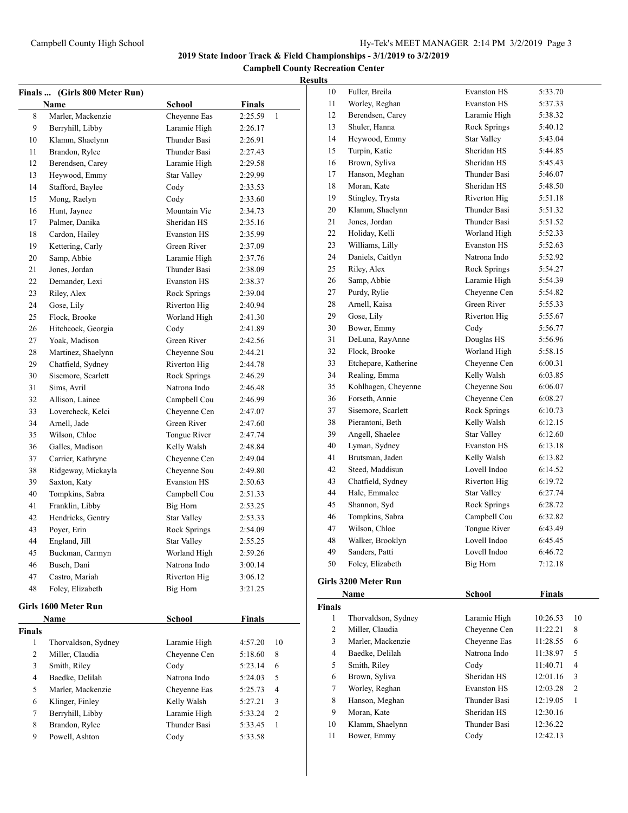**Campbell County Recreation Center**

## **Results**

|               | Finals  (Girls 800 Meter Run) |                     |                           |
|---------------|-------------------------------|---------------------|---------------------------|
|               | <b>Name</b>                   | School              | <b>Finals</b>             |
| 8             | Marler, Mackenzie             | Cheyenne Eas        | 2:25.59<br>1              |
| 9             | Berryhill, Libby              | Laramie High        | 2:26.17                   |
| 10            | Klamm, Shaelynn               | Thunder Basi        | 2:26.91                   |
| 11            | Brandon, Rylee                | Thunder Basi        | 2:27.43                   |
| 12            | Berendsen, Carey              | Laramie High        | 2:29.58                   |
| 13            | Heywood, Emmy                 | <b>Star Valley</b>  | 2:29.99                   |
| 14            | Stafford, Baylee              | Cody                | 2:33.53                   |
| 15            | Mong, Raelyn                  | Cody                | 2:33.60                   |
| 16            | Hunt, Jaynee                  | Mountain Vie        | 2:34.73                   |
| 17            | Palmer, Danika                | Sheridan HS         | 2:35.16                   |
| 18            | Cardon, Hailey                | <b>Evanston HS</b>  | 2:35.99                   |
| 19            | Kettering, Carly              | Green River         | 2:37.09                   |
| 20            | Samp, Abbie                   | Laramie High        | 2:37.76                   |
| 21            | Jones, Jordan                 | Thunder Basi        | 2:38.09                   |
| 22            | Demander, Lexi                | <b>Evanston HS</b>  | 2:38.37                   |
| 23            | Riley, Alex                   | Rock Springs        | 2:39.04                   |
| 24            | Gose, Lily                    | Riverton Hig        | 2:40.94                   |
| 25            | Flock, Brooke                 | Worland High        | 2:41.30                   |
| 26            | Hitchcock, Georgia            | Cody                | 2:41.89                   |
| 27            | Yoak, Madison                 | Green River         | 2:42.56                   |
| 28            | Martinez, Shaelynn            | Chevenne Sou        | 2:44.21                   |
| 29            | Chatfield, Sydney             | Riverton Hig        | 2:44.78                   |
| 30            | Sisemore, Scarlett            | Rock Springs        | 2:46.29                   |
| 31            | Sims, Avril                   | Natrona Indo        | 2:46.48                   |
| 32            | Allison, Lainee               | Campbell Cou        | 2:46.99                   |
| 33            | Lovercheck, Kelci             | Cheyenne Cen        | 2:47.07                   |
| 34            | Arnell, Jade                  | Green River         | 2:47.60                   |
| 35            | Wilson, Chloe                 | Tongue River        | 2:47.74                   |
| 36            | Galles, Madison               | Kelly Walsh         | 2:48.84                   |
| 37            | Carrier, Kathryne             | Cheyenne Cen        | 2:49.04                   |
| 38            | Ridgeway, Mickayla            | Cheyenne Sou        | 2:49.80                   |
| 39            | Saxton, Katy                  | <b>Evanston HS</b>  | 2:50.63                   |
| 40            | Tompkins, Sabra               | Campbell Cou        | 2:51.33                   |
| 41            | Franklin, Libby               | Big Horn            | 2:53.25                   |
| 42            | Hendricks, Gentry             | Star Valley         | 2:53.33                   |
| 43            | Poyer, Erin                   | <b>Rock Springs</b> | 2:54.09                   |
| 44            | England, Jill                 | Star Valley         | 2:55.25                   |
| 45            | Buckman, Carmyn               | Worland High        | 2:59.26                   |
| 46            | Busch, Dani                   | Natrona Indo        | 3:00.14                   |
| 47            | Castro, Mariah                | Riverton Hig        | 3:06.12                   |
| 48            | Foley, Elizabeth              | Big Horn            | 3:21.25                   |
|               | Girls 1600 Meter Run          |                     |                           |
|               | Name                          | <b>School</b>       | Finals                    |
| <b>Finals</b> |                               |                     |                           |
| 1             | Thorvaldson, Sydney           | Laramie High        | 10<br>4:57.20             |
| 2             | Miller, Claudia               | Cheyenne Cen        | 5:18.60<br>8              |
| 3             | Smith, Riley                  | Cody                | 6<br>5:23.14              |
| 4             | Baedke, Delilah               | Natrona Indo        | 5<br>5:24.03              |
| 5             | Marler, Mackenzie             | Cheyenne Eas        | $\overline{4}$<br>5:25.73 |
| 6             | Klinger, Finley               | Kelly Walsh         | 3<br>5:27.21              |
| 7             | Berryhill, Libby              | Laramie High        | $\mathfrak{2}$<br>5:33.24 |
| 8             | Brandon, Rylee                | Thunder Basi        | 1<br>5:33.45              |
| 9             | Powell, Ashton                | Cody                | 5:33.58                   |
|               |                               |                     |                           |

| 10 | Fuller, Breila       | <b>Evanston HS</b> | 5:33.70 |  |
|----|----------------------|--------------------|---------|--|
| 11 | Worley, Reghan       | <b>Evanston HS</b> | 5:37.33 |  |
| 12 | Berendsen, Carey     | Laramie High       | 5:38.32 |  |
| 13 | Shuler, Hanna        | Rock Springs       | 5:40.12 |  |
| 14 | Heywood, Emmy        | <b>Star Valley</b> | 5:43.04 |  |
| 15 | Turpin, Katie        | Sheridan HS        | 5:44.85 |  |
| 16 | Brown, Syliva        | Sheridan HS        | 5:45.43 |  |
| 17 | Hanson, Meghan       | Thunder Basi       | 5:46.07 |  |
| 18 | Moran, Kate          | Sheridan HS        | 5:48.50 |  |
| 19 | Stingley, Trysta     | Riverton Hig       | 5:51.18 |  |
| 20 | Klamm, Shaelynn      | Thunder Basi       | 5:51.32 |  |
| 21 | Jones, Jordan        | Thunder Basi       | 5:51.52 |  |
| 22 | Holiday, Kelli       | Worland High       | 5:52.33 |  |
| 23 | Williams, Lilly      | <b>Evanston HS</b> | 5:52.63 |  |
| 24 | Daniels, Caitlyn     | Natrona Indo       | 5:52.92 |  |
| 25 | Riley, Alex          | Rock Springs       | 5:54.27 |  |
| 26 | Samp, Abbie          | Laramie High       | 5:54.39 |  |
| 27 | Purdy, Rylie         | Cheyenne Cen       | 5:54.82 |  |
| 28 | Arnell, Kaisa        | Green River        | 5:55.33 |  |
| 29 | Gose, Lily           | Riverton Hig       | 5:55.67 |  |
| 30 | Bower, Emmy          | Cody               | 5:56.77 |  |
| 31 | DeLuna, RayAnne      | Douglas HS         | 5:56.96 |  |
| 32 | Flock, Brooke        | Worland High       | 5:58.15 |  |
| 33 | Etchepare, Katherine | Cheyenne Cen       | 6:00.31 |  |
| 34 | Realing, Emma        | Kelly Walsh        | 6:03.85 |  |
| 35 | Kohlhagen, Cheyenne  | Cheyenne Sou       | 6:06.07 |  |
| 36 | Forseth, Annie       | Cheyenne Cen       | 6:08.27 |  |
| 37 | Sisemore, Scarlett   | Rock Springs       | 6:10.73 |  |
| 38 | Pierantoni, Beth     | Kelly Walsh        | 6:12.15 |  |
| 39 | Angell, Shaelee      | <b>Star Valley</b> | 6:12.60 |  |
| 40 | Lyman, Sydney        | <b>Evanston HS</b> | 6:13.18 |  |
| 41 | Brutsman, Jaden      | Kelly Walsh        | 6:13.82 |  |
| 42 | Steed, Maddisun      | Lovell Indoo       | 6:14.52 |  |
| 43 | Chatfield, Sydney    | Riverton Hig       | 6:19.72 |  |
| 44 | Hale, Emmalee        | <b>Star Valley</b> | 6:27.74 |  |
| 45 | Shannon, Syd         | Rock Springs       | 6:28.72 |  |
| 46 | Tompkins, Sabra      | Campbell Cou       | 6:32.82 |  |
| 47 | Wilson, Chloe        | Tongue River       | 6:43.49 |  |
| 48 | Walker, Brooklyn     | Lovell Indoo       | 6:45.45 |  |
| 49 | Sanders, Patti       | Lovell Indoo       | 6:46.72 |  |
| 50 | Foley, Elizabeth     | Big Horn           | 7:12.18 |  |
|    | irls 3200 Meter Run' |                    |         |  |

# Girls 3200 Meter

|               | Name                | School             | <b>Finals</b> |                |
|---------------|---------------------|--------------------|---------------|----------------|
| <b>Finals</b> |                     |                    |               |                |
| 1             | Thorvaldson, Sydney | Laramie High       | 10:26.53      | 10             |
| 2             | Miller, Claudia     | Chevenne Cen       | 11:22.21      | 8              |
| 3             | Marler, Mackenzie   | Cheyenne Eas       | 11:28.55      | 6              |
| 4             | Baedke, Delilah     | Natrona Indo       | 11:38.97      | 5              |
| 5             | Smith, Riley        | Cody               | 11:40.71      | 4              |
| 6             | Brown, Syliva       | Sheridan HS        | 12:01.16      | 3              |
| 7             | Worley, Reghan      | <b>Evanston HS</b> | 12:03.28      | $\overline{2}$ |
| 8             | Hanson, Meghan      | Thunder Basi       | 12:19.05      | 1              |
| 9             | Moran, Kate         | Sheridan HS        | 12:30.16      |                |
| 10            | Klamm, Shaelynn     | Thunder Basi       | 12:36.22      |                |
| 11            | Bower, Emmy         | Codv               | 12:42.13      |                |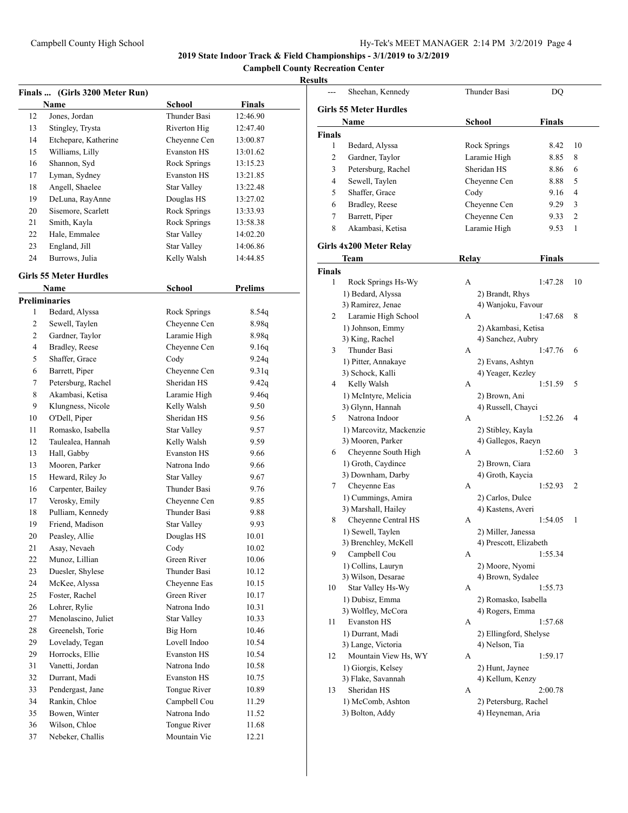**Campbell County Recreation Center**

|    | Finals  (Girls 3200 Meter Run) |                    |               |
|----|--------------------------------|--------------------|---------------|
|    | Name                           | School             | <b>Finals</b> |
| 12 | Jones, Jordan                  | Thunder Basi       | 12:46.90      |
| 13 | Stingley, Trysta               | Riverton Hig       | 12:47.40      |
| 14 | Etchepare, Katherine           | Chevenne Cen       | 13:00.87      |
| 15 | Williams, Lilly                | <b>Evanston HS</b> | 13:01.62      |
| 16 | Shannon, Syd                   | Rock Springs       | 13:15.23      |
| 17 | Lyman, Sydney                  | <b>Evanston HS</b> | 13:21.85      |
| 18 | Angell, Shaelee                | <b>Star Valley</b> | 13:22.48      |
| 19 | DeLuna, RayAnne                | Douglas HS         | 13:27.02      |
| 20 | Sisemore, Scarlett             | Rock Springs       | 13:33.93      |
| 21 | Smith, Kayla                   | Rock Springs       | 13:58.38      |
| 22 | Hale, Emmalee                  | <b>Star Valley</b> | 14:02.20      |
| 23 | England, Jill                  | <b>Star Valley</b> | 14:06.86      |
| 24 | Burrows, Julia                 | Kelly Walsh        | 14:44.85      |
|    | <b>Girls 55 Meter Hurdles</b>  |                    |               |
|    | Name                           | <b>School</b>      | Prelims       |
|    | <b>Preliminaries</b>           |                    |               |
| 1  | Bedard, Alyssa                 | Rock Springs       | 8.54q         |
| 2  | Sewell, Taylen                 | Cheyenne Cen       | 8.98q         |
| 2  | Gardner, Taylor                | Laramie High       | 8.98q         |
| 4  | Bradley, Reese                 | Cheyenne Cen       | 9.16q         |
| 5  | Shaffer, Grace                 | Cody               | 9.24q         |
| 6  | Barrett, Piper                 | Cheyenne Cen       | 9.31q         |
| 7  | Petersburg, Rachel             | Sheridan HS        | 9.42q         |
| 8  | Akambasi, Ketisa               | Laramie High       | 9.46q         |
| 9  | Klungness, Nicole              | Kelly Walsh        | 9.50          |
| 10 | O'Dell, Piper                  | Sheridan HS        | 9.56          |
| 11 | Romasko, Isabella              | <b>Star Valley</b> | 9.57          |
| 12 | Taulealea, Hannah              | Kelly Walsh        | 9.59          |
| 13 | Hall, Gabby                    | <b>Evanston HS</b> | 9.66          |
| 13 | Mooren, Parker                 | Natrona Indo       | 9.66          |
| 15 | Heward, Riley Jo               | <b>Star Valley</b> | 9.67          |
| 16 | Carpenter, Bailey              | Thunder Basi       | 9.76          |
| 17 | Verosky, Emily                 | Cheyenne Cen       | 9.85          |
| 18 | Pulliam, Kennedy               | Thunder Basi       | 9.88          |
| 19 | Friend. Madison                | <b>Star Valley</b> | 9.93          |
| 20 | Peasley, Allie                 | Douglas HS         | 10.01         |
| 21 | Asay, Nevaeh                   | Cody               | 10.02         |
| 22 | Munoz, Lillian                 | Green River        | 10.06         |
| 23 | Duesler, Shylese               | Thunder Basi       | 10.12         |
| 24 | McKee, Alyssa                  | Cheyenne Eas       | 10.15         |
| 25 | Foster, Rachel                 | Green River        | 10.17         |
| 26 | Lohrer, Rylie                  | Natrona Indo       | 10.31         |
| 27 | Menolascino, Juliet            | <b>Star Valley</b> | 10.33         |
| 28 | Greenelsh, Torie               | Big Horn           | 10.46         |
| 29 | Lovelady, Tegan                | Lovell Indoo       | 10.54         |
| 29 | Horrocks, Ellie                | <b>Evanston HS</b> | 10.54         |
| 31 | Vanetti, Jordan                | Natrona Indo       | 10.58         |
| 32 | Durrant, Madi                  | <b>Evanston HS</b> | 10.75         |
| 33 | Pendergast, Jane               | Tongue River       | 10.89         |
| 34 | Rankin, Chloe                  | Campbell Cou       | 11.29         |
| 35 | Bowen, Winter                  | Natrona Indo       | 11.52         |
| 36 | Wilson, Chloe                  | Tongue River       | 11.68         |
| 37 | Nebeker, Challis               | Mountain Vie       | 12.21         |
|    |                                |                    |               |

|                | Sheehan, Kennedy              | Thunder Basi           | DQ            |                |
|----------------|-------------------------------|------------------------|---------------|----------------|
|                | <b>Girls 55 Meter Hurdles</b> |                        |               |                |
|                | Name                          | <b>School</b>          | <b>Finals</b> |                |
| <b>Finals</b>  |                               |                        |               |                |
| 1              | Bedard, Alyssa                | Rock Springs           | 8.42          | 10             |
| 2              | Gardner, Taylor               | Laramie High           | 8.85          | 8              |
| 3              | Petersburg, Rachel            | Sheridan HS            | 8.86          | 6              |
| 4              | Sewell, Taylen                | Cheyenne Cen           | 8.88          | 5              |
| 5              | Shaffer, Grace                | Cody                   | 9.16          | 4              |
| 6              | Bradley, Reese                | Cheyenne Cen           | 9.29          | 3              |
| 7              | Barrett, Piper                | Cheyenne Cen           | 9.33          | $\overline{c}$ |
| 8              | Akambasi, Ketisa              | Laramie High           | 9.53          | 1              |
|                |                               |                        |               |                |
|                | Girls 4x200 Meter Relay       |                        |               |                |
|                | Team                          | <b>Relay</b>           | <b>Finals</b> |                |
| <b>Finals</b>  |                               |                        |               |                |
| 1              | Rock Springs Hs-Wy            | A                      | 1:47.28       | 10             |
|                | 1) Bedard, Alyssa             | 2) Brandt, Rhys        |               |                |
|                | 3) Ramirez, Jenae             | 4) Wanjoku, Favour     |               |                |
| $\overline{2}$ | Laramie High School           | A                      | 1:47.68       | 8              |
|                | 1) Johnson, Emmy              | 2) Akambasi, Ketisa    |               |                |
|                | 3) King, Rachel               | 4) Sanchez, Aubry      |               |                |
| 3              | Thunder Basi                  | A                      | 1:47.76       | 6              |
|                | 1) Pitter, Annakaye           | 2) Evans, Ashtyn       |               |                |
|                | 3) Schock, Kalli              | 4) Yeager, Kezley      |               |                |
| 4              | Kelly Walsh                   | A                      | 1:51.59       | 5              |
|                | 1) McIntyre, Melicia          | 2) Brown, Ani          |               |                |
|                | 3) Glynn, Hannah              | 4) Russell, Chayci     |               |                |
| 5              | Natrona Indoor                | A                      | 1:52.26       | 4              |
|                | 1) Marcovitz, Mackenzie       | 2) Stibley, Kayla      |               |                |
|                | 3) Mooren, Parker             | 4) Gallegos, Raeyn     |               |                |
| 6              | Cheyenne South High           | A                      | 1:52.60       | 3              |
|                | 1) Groth, Caydince            | 2) Brown, Ciara        |               |                |
|                | 3) Downham, Darby             | 4) Groth, Kaycia       |               |                |
| 7              | Cheyenne Eas                  | A                      | 1:52.93       | 2              |
|                | 1) Cummings, Amira            | 2) Carlos, Dulce       |               |                |
|                | 3) Marshall, Hailey           | 4) Kastens, Averi      |               |                |
| 8              | Cheyenne Central HS           | А                      | 1:54.05       | 1              |
|                | 1) Sewell, Taylen             | 2) Miller, Janessa     |               |                |
|                | 3) Brenchley, McKell          | 4) Prescott, Elizabeth |               |                |
| 9              | Campbell Cou                  | А                      | 1:55.34       |                |
|                | 1) Collins, Lauryn            | 2) Moore, Nyomi        |               |                |
|                | 3) Wilson, Desarae            | 4) Brown, Sydalee      |               |                |
| 10             | Star Valley Hs-Wy             | А                      | 1:55.73       |                |
|                | 1) Dubisz, Emma               | 2) Romasko, Isabella   |               |                |
|                | 3) Wolfley, McCora            | 4) Rogers, Emma        |               |                |
| 11             | <b>Evanston HS</b>            | A                      | 1:57.68       |                |
|                | 1) Durrant, Madi              | 2) Ellingford, Shelyse |               |                |
|                | 3) Lange, Victoria            | 4) Nelson, Tia         |               |                |
| 12             | Mountain View Hs, WY          | А                      | 1:59.17       |                |
|                | 1) Giorgis, Kelsey            | 2) Hunt, Jaynee        |               |                |
|                | 3) Flake, Savannah            | 4) Kellum, Kenzy       |               |                |
| 13             | Sheridan HS                   | А                      | 2:00.78       |                |
|                | 1) McComb, Ashton             | 2) Petersburg, Rachel  |               |                |
|                | 3) Bolton, Addy               | 4) Heyneman, Aria      |               |                |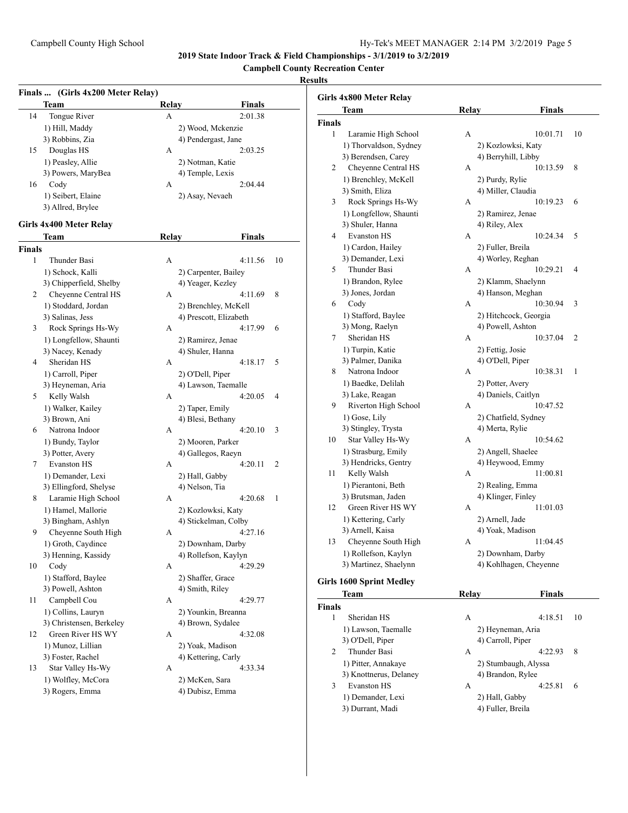**Campbell County Recreation Center**

## **Results**

|               | Finals  (Girls 4x200 Meter Relay) |       |                                       |    |
|---------------|-----------------------------------|-------|---------------------------------------|----|
|               | Team                              | Relay | Finals                                |    |
| 14            | Tongue River                      | A     | 2:01.38                               |    |
|               | 1) Hill, Maddy                    |       | 2) Wood, Mckenzie                     |    |
|               | 3) Robbins, Zia                   |       | 4) Pendergast, Jane                   |    |
| 15            | Douglas HS                        | А     | 2:03.25                               |    |
|               | 1) Peasley, Allie                 |       | 2) Notman, Katie                      |    |
|               | 3) Powers, MaryBea                |       | 4) Temple, Lexis                      |    |
| 16            | Cody                              | A     | 2:04.44                               |    |
|               | 1) Seibert, Elaine                |       | 2) Asay, Nevaeh                       |    |
|               | 3) Allred, Brylee                 |       |                                       |    |
|               | Girls 4x400 Meter Relay           |       |                                       |    |
|               | Team                              | Relay | <b>Finals</b>                         |    |
| <b>Finals</b> |                                   |       |                                       |    |
| 1             | Thunder Basi                      | A     | 4:11.56                               | 10 |
|               | 1) Schock, Kalli                  |       | 2) Carpenter, Bailey                  |    |
|               | 3) Chipperfield, Shelby           |       | 4) Yeager, Kezley                     |    |
| 2             | Cheyenne Central HS               | A     | 4:11.69                               | 8  |
|               | 1) Stoddard, Jordan               |       | 2) Brenchley, McKell                  |    |
|               | 3) Salinas, Jess                  |       | 4) Prescott, Elizabeth                |    |
| 3             | Rock Springs Hs-Wy                | A     | 4:17.99                               | 6  |
|               | 1) Longfellow, Shaunti            |       |                                       |    |
|               |                                   |       | 2) Ramirez, Jenae<br>4) Shuler, Hanna |    |
| 4             | 3) Nacey, Kenady<br>Sheridan HS   | A     |                                       | 5  |
|               |                                   |       | 4:18.17                               |    |
|               | 1) Carroll, Piper                 |       | 2) O'Dell, Piper                      |    |
|               | 3) Heyneman, Aria                 |       | 4) Lawson, Taemalle                   |    |
| 5             | Kelly Walsh                       | A     | 4:20.05                               | 4  |
|               | 1) Walker, Kailey                 |       | 2) Taper, Emily                       |    |
|               | 3) Brown, Ani                     |       | 4) Blesi, Bethany                     |    |
| 6             | Natrona Indoor                    | A     | 4:20.10                               | 3  |
|               | 1) Bundy, Taylor                  |       | 2) Mooren, Parker                     |    |
|               | 3) Potter, Avery                  |       | 4) Gallegos, Raeyn                    |    |
| 7             | <b>Evanston HS</b>                | A     | 4:20.11                               | 2  |
|               | 1) Demander, Lexi                 |       | 2) Hall, Gabby                        |    |
|               | 3) Ellingford, Shelyse            |       | 4) Nelson, Tia                        |    |
| 8             | Laramie High School               | A     | 4:20.68                               | 1  |
|               | 1) Hamel, Mallorie                |       | 2) Kozlowksi, Katy                    |    |
|               | 3) Bingham, Ashlyn                |       | 4) Stickelman, Colby                  |    |
| 9             | Cheyenne South High               | А     | 4:27.16                               |    |
|               | 1) Groth, Caydince                |       | 2) Downham, Darby                     |    |
|               | 3) Henning, Kassidy               |       | 4) Rollefson, Kaylyn                  |    |
| 10            | Cody                              | А     | 4:29.29                               |    |
|               | 1) Stafford, Baylee               |       | 2) Shaffer, Grace                     |    |
|               | 3) Powell, Ashton                 |       | 4) Smith, Riley                       |    |
| 11            | Campbell Cou                      | А     | 4:29.77                               |    |
|               | 1) Collins, Lauryn                |       | 2) Younkin, Breanna                   |    |
|               | 3) Christensen, Berkeley          |       | 4) Brown, Sydalee                     |    |
| 12            | Green River HS WY                 | А     | 4:32.08                               |    |
|               | 1) Munoz, Lillian                 |       | 2) Yoak, Madison                      |    |
|               | 3) Foster, Rachel                 |       | 4) Kettering, Carly                   |    |
| 13            | Star Valley Hs-Wy                 | А     | 4:33.34                               |    |
|               | 1) Wolfley, McCora                |       | 2) McKen, Sara                        |    |
|               | 3) Rogers, Emma                   |       | 4) Dubisz, Emma                       |    |
|               |                                   |       |                                       |    |

|               | Girls 4x800 Meter Relay         |       |                                     |                |
|---------------|---------------------------------|-------|-------------------------------------|----------------|
|               | Team                            | Relay | <b>Finals</b>                       |                |
| <b>Finals</b> |                                 |       |                                     |                |
| 1             | Laramie High School             | А     | 10:01.71                            | 10             |
|               | 1) Thorvaldson, Sydney          |       | 2) Kozlowksi, Katy                  |                |
|               | 3) Berendsen, Carey             |       | 4) Berryhill, Libby                 |                |
| 2             | Cheyenne Central HS             | A     | 10:13.59                            | 8              |
|               | 1) Brenchley, McKell            |       | 2) Purdy, Rylie                     |                |
|               | 3) Smith, Eliza                 |       | 4) Miller, Claudia                  |                |
| 3             | Rock Springs Hs-Wy              | A     | 10:19.23                            | 6              |
|               | 1) Longfellow, Shaunti          |       | 2) Ramirez, Jenae                   |                |
|               | 3) Shuler, Hanna                |       | 4) Riley, Alex                      |                |
| 4             | <b>Evanston HS</b>              | A     | 10:24.34                            | 5              |
|               | 1) Cardon, Hailey               |       | 2) Fuller, Breila                   |                |
|               | 3) Demander, Lexi               |       | 4) Worley, Reghan                   |                |
| 5             | Thunder Basi                    | A     | 10:29.21                            | $\overline{4}$ |
|               | 1) Brandon, Rylee               |       | 2) Klamm, Shaelynn                  |                |
|               | 3) Jones, Jordan                |       | 4) Hanson, Meghan                   |                |
| 6             | Cody                            | A     | 10:30.94                            | 3              |
|               | 1) Stafford, Baylee             |       | 2) Hitchcock, Georgia               |                |
|               | 3) Mong, Raelyn                 |       | 4) Powell, Ashton                   |                |
| 7             | Sheridan HS                     | А     | 10:37.04                            | $\overline{2}$ |
|               | 1) Turpin, Katie                |       | 2) Fettig, Josie                    |                |
|               | 3) Palmer, Danika               |       | 4) O'Dell, Piper                    |                |
| 8             | Natrona Indoor                  | A     | 10:38.31                            | 1              |
|               | 1) Baedke, Delilah              |       | 2) Potter, Avery                    |                |
|               | 3) Lake, Reagan                 |       | 4) Daniels, Caitlyn                 |                |
| 9             | Riverton High School            | А     | 10:47.52                            |                |
|               | 1) Gose, Lily                   |       | 2) Chatfield, Sydney                |                |
|               | 3) Stingley, Trysta             |       | 4) Merta, Rylie                     |                |
| 10            | Star Valley Hs-Wy               | A     | 10:54.62                            |                |
|               | 1) Strasburg, Emily             |       | 2) Angell, Shaelee                  |                |
|               | 3) Hendricks, Gentry            |       | 4) Heywood, Emmy                    |                |
| 11            | Kelly Walsh                     | А     | 11:00.81                            |                |
|               | 1) Pierantoni, Beth             |       | 2) Realing, Emma                    |                |
|               | 3) Brutsman, Jaden              |       | 4) Klinger, Finley                  |                |
| 12            | Green River HS WY               | A     | 11:01.03                            |                |
|               |                                 |       |                                     |                |
|               | 1) Kettering, Carly             |       | 2) Arnell, Jade<br>4) Yoak, Madison |                |
|               | 3) Arnell, Kaisa                |       |                                     |                |
| 13            | Cheyenne South High             | A     | 11:04.45                            |                |
|               | 1) Rollefson, Kaylyn            |       | 2) Downham, Darby                   |                |
|               | 3) Martinez, Shaelynn           |       | 4) Kohlhagen, Cheyenne              |                |
|               | <b>Girls 1600 Sprint Medley</b> |       |                                     |                |
|               | <b>Team</b>                     | Relay | Finals                              |                |

|                               | Team                   | Kelav             | Finals               |    |
|-------------------------------|------------------------|-------------------|----------------------|----|
| <b>Finals</b>                 |                        |                   |                      |    |
|                               | Sheridan HS            | A                 | 4:18.51              | 10 |
|                               | 1) Lawson, Taemalle    | 2) Heyneman, Aria |                      |    |
|                               | 3) O'Dell, Piper       | 4) Carroll, Piper |                      |    |
| $\mathfrak{D}_{\mathfrak{p}}$ | Thunder Basi           | А                 | 4:22.93              | 8  |
|                               | 1) Pitter, Annakaye    |                   | 2) Stumbaugh, Alyssa |    |
|                               | 3) Knottnerus, Delaney | 4) Brandon, Rylee |                      |    |
| 3                             | <b>Evanston HS</b>     | А                 | 4:25.81              | 6  |
|                               | 1) Demander, Lexi      | 2) Hall, Gabby    |                      |    |
|                               | 3) Durrant, Madi       | 4) Fuller, Breila |                      |    |
|                               |                        |                   |                      |    |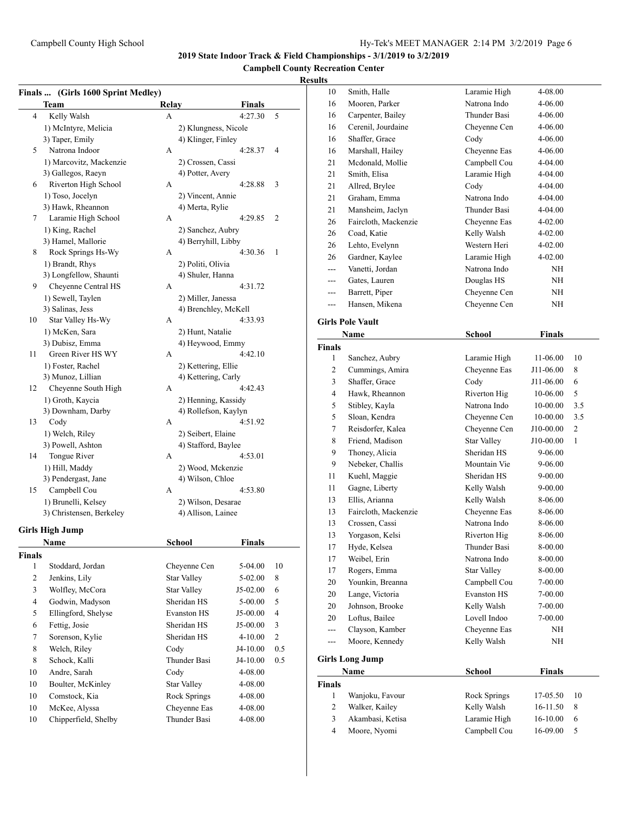## **Campbell County Recreation Center**

|                | Finals  (Girls 1600 Sprint Medley) |                      |               |                |
|----------------|------------------------------------|----------------------|---------------|----------------|
|                | <b>Team</b>                        | Relay                | <b>Finals</b> |                |
| 4              | Kelly Walsh                        | A                    | 4:27.30       | 5              |
|                | 1) McIntyre, Melicia               | 2) Klungness, Nicole |               |                |
|                | 3) Taper, Emily                    | 4) Klinger, Finley   |               |                |
| 5              | Natrona Indoor                     | A                    | 4:28.37       | 4              |
|                | 1) Marcovitz, Mackenzie            | 2) Crossen, Cassi    |               |                |
|                | 3) Gallegos, Raeyn                 | 4) Potter, Avery     |               |                |
| 6              | Riverton High School               | A                    | 4:28.88       | 3              |
|                | 1) Toso, Jocelyn                   | 2) Vincent, Annie    |               |                |
|                | 3) Hawk, Rheannon                  | 4) Merta, Rylie      |               |                |
| 7              | Laramie High School                | A                    | 4:29.85       | 2              |
|                | 1) King, Rachel                    | 2) Sanchez, Aubry    |               |                |
|                | 3) Hamel, Mallorie                 | 4) Berryhill, Libby  |               |                |
| 8              | Rock Springs Hs-Wy                 | A                    | 4:30.36       | 1              |
|                | 1) Brandt, Rhys                    | 2) Politi, Olivia    |               |                |
|                | 3) Longfellow, Shaunti             | 4) Shuler, Hanna     |               |                |
| 9              | Cheyenne Central HS                | A                    | 4:31.72       |                |
|                | 1) Sewell, Taylen                  | 2) Miller, Janessa   |               |                |
|                | 3) Salinas, Jess                   | 4) Brenchley, McKell |               |                |
| 10             | Star Valley Hs-Wy                  | A                    | 4:33.93       |                |
|                | 1) McKen, Sara                     | 2) Hunt, Natalie     |               |                |
|                | 3) Dubisz, Emma                    | 4) Heywood, Emmy     |               |                |
| 11             | Green River HS WY                  | A                    | 4:42.10       |                |
|                | 1) Foster, Rachel                  | 2) Kettering, Ellie  |               |                |
|                | 3) Munoz, Lillian                  | 4) Kettering, Carly  |               |                |
| 12             | Cheyenne South High                | A                    | 4:42.43       |                |
|                | 1) Groth, Kaycia                   | 2) Henning, Kassidy  |               |                |
|                | 3) Downham, Darby                  | 4) Rollefson, Kaylyn |               |                |
| 13             | Cody                               | A                    | 4:51.92       |                |
|                | 1) Welch, Riley                    | 2) Seibert, Elaine   |               |                |
|                | 3) Powell, Ashton                  | 4) Stafford, Baylee  |               |                |
| 14             | Tongue River                       | A                    | 4:53.01       |                |
|                | 1) Hill, Maddy                     | 2) Wood, Mckenzie    |               |                |
|                | 3) Pendergast, Jane                | 4) Wilson, Chloe     |               |                |
| 15             | Campbell Cou                       | A                    | 4:53.80       |                |
|                | 1) Brunelli, Kelsey                | 2) Wilson, Desarae   |               |                |
|                | 3) Christensen, Berkeley           | 4) Allison, Lainee   |               |                |
|                | <b>Girls High Jump</b>             |                      |               |                |
|                | Name                               | School               | Finals        |                |
| Finals         |                                    |                      |               |                |
| 1              | Stoddard, Jordan                   | Cheyenne Cen         | 5-04.00       | 10             |
| $\overline{c}$ | Jenkins, Lily                      | <b>Star Valley</b>   | 5-02.00       | 8              |
| 3              | Wolfley, McCora                    | <b>Star Valley</b>   | J5-02.00      | 6              |
| $\overline{4}$ | Godwin, Madyson                    | Sheridan HS          | 5-00.00       | 5              |
| 5              | Ellingford, Shelyse                | <b>Evanston HS</b>   | J5-00.00      | $\overline{4}$ |
| 6              | Fettig, Josie                      | Sheridan HS          | J5-00.00      | 3              |
| $\tau$         | Sorenson, Kylie                    | Sheridan HS          | 4-10.00       | $\sqrt{2}$     |
| 8              | Welch, Riley                       | Cody                 | J4-10.00      | 0.5            |
| 8              | Schock, Kalli                      | Thunder Basi         | J4-10.00      | 0.5            |
| 10             | Andre, Sarah                       | Cody                 | 4-08.00       |                |
| 10             | Boulter, McKinley                  | <b>Star Valley</b>   | 4-08.00       |                |
| 10             | Comstock, Kia                      | Rock Springs         |               |                |
|                |                                    |                      | 4-08.00       |                |
| 10             | McKee, Alyssa                      | Cheyenne Eas         | 4-08.00       |                |
| 10             | Chipperfield, Shelby               | Thunder Basi         | 4-08.00       |                |

| 10             | Smith, Halle            | Laramie High       | 4-08.00       |     |
|----------------|-------------------------|--------------------|---------------|-----|
| 16             | Mooren, Parker          | Natrona Indo       | 4-06.00       |     |
| 16             | Carpenter, Bailey       | Thunder Basi       | 4-06.00       |     |
| 16             | Cerenil, Jourdaine      | Cheyenne Cen       | 4-06.00       |     |
| 16             | Shaffer, Grace          | Cody               | 4-06.00       |     |
| 16             | Marshall, Hailey        | Cheyenne Eas       | 4-06.00       |     |
| 21             | Mcdonald, Mollie        | Campbell Cou       | 4-04.00       |     |
| 21             | Smith, Elisa            | Laramie High       | 4-04.00       |     |
| 21             | Allred, Brylee          | Cody               | 4-04.00       |     |
| 21             | Graham, Emma            | Natrona Indo       | 4-04.00       |     |
| 21             | Mansheim, Jaclyn        | Thunder Basi       | 4-04.00       |     |
| 26             | Faircloth, Mackenzie    | Cheyenne Eas       | 4-02.00       |     |
| 26             | Coad, Katie             | Kelly Walsh        | 4-02.00       |     |
| 26             | Lehto, Evelynn          | Western Heri       | $4 - 02.00$   |     |
| 26             | Gardner, Kaylee         | Laramie High       | 4-02.00       |     |
| $---$          | Vanetti, Jordan         | Natrona Indo       | NΗ            |     |
| ---            | Gates, Lauren           | Douglas HS         | NΗ            |     |
| ---            | Barrett, Piper          | Cheyenne Cen       | NΗ            |     |
| $---$          | Hansen, Mikena          | Cheyenne Cen       | NH            |     |
|                |                         |                    |               |     |
|                | <b>Girls Pole Vault</b> |                    |               |     |
|                | Name                    | <b>School</b>      | Finals        |     |
| Finals         |                         |                    |               |     |
| 1              | Sanchez, Aubry          | Laramie High       | 11-06.00      | 10  |
| 2              | Cummings, Amira         | Cheyenne Eas       | J11-06.00     | 8   |
| 3              | Shaffer, Grace          | Cody               | J11-06.00     | 6   |
| $\overline{4}$ | Hawk, Rheannon          | Riverton Hig       | 10-06.00      | 5   |
| 5              | Stibley, Kayla          | Natrona Indo       | 10-00.00      | 3.5 |
| 5              | Sloan, Kendra           | Cheyenne Cen       | 10-00.00      | 3.5 |
| $\tau$         | Reisdorfer, Kalea       | Cheyenne Cen       | J10-00.00     | 2   |
| 8              | Friend, Madison         | <b>Star Valley</b> | J10-00.00     | 1   |
| 9              | Thoney, Alicia          | Sheridan HS        | 9-06.00       |     |
| 9              | Nebeker, Challis        | Mountain Vie       | 9-06.00       |     |
| 11             | Kuehl, Maggie           | Sheridan HS        | 9-00.00       |     |
| 11             | Gagne, Liberty          | Kelly Walsh        | 9-00.00       |     |
| 13             | Ellis, Arianna          | Kelly Walsh        | 8-06.00       |     |
| 13             | Faircloth, Mackenzie    | Cheyenne Eas       | 8-06.00       |     |
| 13             | Crossen, Cassi          | Natrona Indo       | 8-06.00       |     |
| 13             | Yorgason, Kelsi         | Riverton Hig       | 8-06.00       |     |
| 17             | Hyde, Kelsea            | Thunder Basi       | 8-00.00       |     |
| 17             | Weibel, Erin            | Natrona Indo       | 8-00.00       |     |
| 17             | Rogers, Emma            | <b>Star Valley</b> | 8-00.00       |     |
| 20             | Younkin, Breanna        | Campbell Cou       | $7 - 00.00$   |     |
| 20             | Lange, Victoria         | <b>Evanston HS</b> | $7 - 00.00$   |     |
| 20             | Johnson, Brooke         | Kelly Walsh        | $7 - 00.00$   |     |
| 20             | Loftus, Bailee          | Lovell Indoo       | $7 - 00.00$   |     |
| $---$          | Clayson, Kamber         | Cheyenne Eas       | NΗ            |     |
| ---            | Moore, Kennedy          | Kelly Walsh        | NΗ            |     |
|                | <b>Girls Long Jump</b>  |                    |               |     |
|                | Name                    | <b>School</b>      | <b>Finals</b> |     |
| Finals         |                         |                    |               |     |
| 1              | Wanjoku, Favour         | Rock Springs       | 17-05.50      | 10  |
| $\overline{c}$ | Walker, Kailey          | Kelly Walsh        | 16-11.50      | 8   |
| 3              | Akambasi, Ketisa        | Laramie High       | 16-10.00      | 6   |
| $\overline{4}$ | Moore, Nyomi            | Campbell Cou       | 16-09.00      | 5   |
|                |                         |                    |               |     |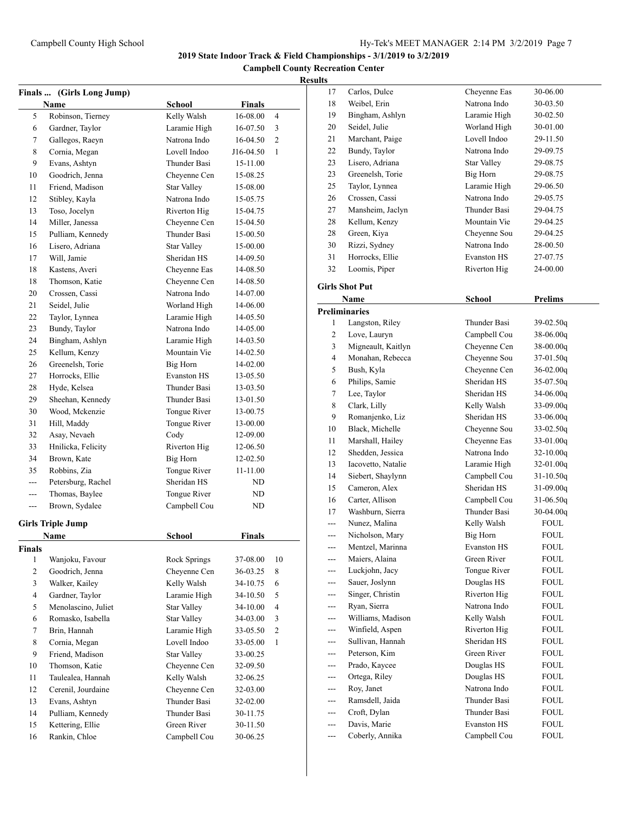**Campbell County Recreation Center**

## **Results**

| Finals  (Girls Long Jump) |                          |                    |               |                |
|---------------------------|--------------------------|--------------------|---------------|----------------|
|                           | Name                     | <b>School</b>      | <b>Finals</b> |                |
| 5                         | Robinson, Tierney        | Kelly Walsh        | 16-08.00      | $\overline{4}$ |
| 6                         | Gardner, Taylor          | Laramie High       | 16-07.50      | 3              |
| 7                         | Gallegos, Raeyn          | Natrona Indo       | 16-04.50      | $\overline{c}$ |
| 8                         | Cornia, Megan            | Lovell Indoo       | J16-04.50     | $\mathbf{1}$   |
| 9                         | Evans, Ashtyn            | Thunder Basi       | 15-11.00      |                |
| 10                        | Goodrich, Jenna          | Cheyenne Cen       | 15-08.25      |                |
| 11                        | Friend. Madison          | <b>Star Valley</b> | 15-08.00      |                |
| 12                        | Stibley, Kayla           | Natrona Indo       | 15-05.75      |                |
| 13                        | Toso, Jocelyn            | Riverton Hig       | 15-04.75      |                |
| 14                        | Miller, Janessa          | Cheyenne Cen       | 15-04.50      |                |
| 15                        | Pulliam, Kennedy         | Thunder Basi       | 15-00.50      |                |
| 16                        | Lisero, Adriana          | <b>Star Valley</b> | 15-00.00      |                |
| 17                        | Will, Jamie              | Sheridan HS        | 14-09.50      |                |
| 18                        | Kastens, Averi           | Cheyenne Eas       | 14-08.50      |                |
| 18                        | Thomson, Katie           | Cheyenne Cen       | 14-08.50      |                |
| 20                        | Crossen, Cassi           | Natrona Indo       | 14-07.00      |                |
| 21                        | Seidel, Julie            | Worland High       | 14-06.00      |                |
| 22                        | Taylor, Lynnea           | Laramie High       | 14-05.50      |                |
| 23                        | Bundy, Taylor            | Natrona Indo       | 14-05.00      |                |
| 24                        | Bingham, Ashlyn          | Laramie High       | 14-03.50      |                |
| 25                        | Kellum, Kenzy            | Mountain Vie       | 14-02.50      |                |
| 26                        | Greenelsh, Torie         | Big Horn           | 14-02.00      |                |
| 27                        | Horrocks, Ellie          | <b>Evanston HS</b> | 13-05.50      |                |
| 28                        | Hyde, Kelsea             | Thunder Basi       | 13-03.50      |                |
| 29                        | Sheehan, Kennedy         | Thunder Basi       | 13-01.50      |                |
| 30                        | Wood, Mckenzie           | Tongue River       | 13-00.75      |                |
| 31                        | Hill, Maddy              | Tongue River       | 13-00.00      |                |
| 32                        | Asay, Nevaeh             | Cody               | 12-09.00      |                |
| 33                        | Hnilicka, Felicity       | Riverton Hig       | 12-06.50      |                |
| 34                        | Brown, Kate              | Big Horn           | 12-02.50      |                |
| 35                        | Robbins, Zia             | Tongue River       | 11-11.00      |                |
| ---                       | Petersburg, Rachel       | Sheridan HS        | ND            |                |
| ---                       | Thomas, Baylee           | Tongue River       | ND            |                |
| ---                       | Brown, Sydalee           | Campbell Cou       | ND            |                |
|                           | <b>Girls Triple Jump</b> |                    |               |                |
|                           | Name                     | School             | Finals        |                |
| <b>Finals</b>             |                          |                    |               |                |
| 1                         | Wanjoku, Favour          | Rock Springs       | 37-08.00      | 10             |
| $\overline{c}$            | Goodrich, Jenna          | Cheyenne Cen       | 36-03.25      | 8              |
| 3                         | Walker, Kailey           | Kelly Walsh        | 34-10.75      | 6              |
| 4                         | Gardner, Taylor          | Laramie High       | 34-10.50      | 5              |
| 5                         | Menolascino, Juliet      | <b>Star Valley</b> | 34-10.00      | $\overline{4}$ |
| 6                         | Romasko, Isabella        | <b>Star Valley</b> | 34-03.00      | 3              |
| 7                         | Brin, Hannah             | Laramie High       | 33-05.50      | 2              |
| 8                         | Cornia, Megan            | Lovell Indoo       | 33-05.00      | $\mathbf{1}$   |
| 9                         | Friend, Madison          | <b>Star Valley</b> | 33-00.25      |                |
| 10                        | Thomson, Katie           | Cheyenne Cen       | 32-09.50      |                |
| 11                        | Taulealea, Hannah        | Kelly Walsh        | 32-06.25      |                |
| 12                        | Cerenil, Jourdaine       | Cheyenne Cen       | 32-03.00      |                |
| 13                        | Evans, Ashtyn            | Thunder Basi       | 32-02.00      |                |
| 14                        | Pulliam, Kennedy         | Thunder Basi       | 30-11.75      |                |
| 15                        | Kettering, Ellie         | Green River        | 30-11.50      |                |
| 16                        | Rankin, Chloe            | Campbell Cou       | 30-06.25      |                |

| uns |                       |                     |                |
|-----|-----------------------|---------------------|----------------|
| 17  | Carlos, Dulce         | Cheyenne Eas        | 30-06.00       |
| 18  | Weibel, Erin          | Natrona Indo        | 30-03.50       |
| 19  | Bingham, Ashlyn       | Laramie High        | 30-02.50       |
| 20  | Seidel, Julie         | Worland High        | 30-01.00       |
| 21  | Marchant, Paige       | Lovell Indoo        | 29-11.50       |
| 22  | Bundy, Taylor         | Natrona Indo        | 29-09.75       |
| 23  | Lisero, Adriana       | <b>Star Valley</b>  | 29-08.75       |
| 23  | Greenelsh, Torie      | Big Horn            | 29-08.75       |
| 25  | Taylor, Lynnea        | Laramie High        | 29-06.50       |
| 26  | Crossen, Cassi        | Natrona Indo        | 29-05.75       |
| 27  | Mansheim, Jaclyn      | Thunder Basi        | 29-04.75       |
| 28  | Kellum, Kenzy         | Mountain Vie        | 29-04.25       |
| 28  | Green, Kiya           | Cheyenne Sou        | 29-04.25       |
| 30  | Rizzi, Sydney         | Natrona Indo        | 28-00.50       |
| 31  | Horrocks, Ellie       | <b>Evanston HS</b>  | 27-07.75       |
| 32  | Loomis, Piper         | Riverton Hig        | 24-00.00       |
|     |                       |                     |                |
|     | <b>Girls Shot Put</b> |                     |                |
|     | Name                  | <b>School</b>       | <b>Prelims</b> |
|     | <b>Preliminaries</b>  |                     |                |
| 1   | Langston, Riley       | <b>Thunder Basi</b> | 39-02.50g      |
| 2   | Love, Lauryn          | Campbell Cou        | 38-06.00q      |
| 3   | Migneault, Kaitlyn    | Cheyenne Cen        | $38-00.00q$    |
| 4   | Monahan, Rebecca      | Cheyenne Sou        | 37-01.50q      |
| 5   | Bush, Kyla            | Cheyenne Cen        | $36-02.00q$    |
| 6   | Philips, Samie        | Sheridan HS         | 35-07.50q      |
| 7   | Lee, Taylor           | Sheridan HS         | $34-06.00q$    |
| 8   | Clark, Lilly          | Kelly Walsh         | $33-09.00q$    |
| 9   | Romanjenko, Liz       | Sheridan HS         | $33-06.00q$    |
| 10  | Black, Michelle       | Cheyenne Sou        | $33-02.50q$    |
| 11  | Marshall, Hailey      | Cheyenne Eas        | 33-01.00q      |
| 12  | Shedden, Jessica      | Natrona Indo        | 32-10.00q      |
| 13  | Iacovetto, Natalie    | Laramie High        | $32-01.00q$    |
| 14  | Siebert, Shaylynn     | Campbell Cou        | $31 - 10.50q$  |
| 15  | Cameron, Alex         | Sheridan HS         | 31-09.00q      |
| 16  | Carter, Allison       | Campbell Cou        | $31 - 06.50q$  |
| 17  | Washburn, Sierra      | Thunder Basi        | $30-04.00q$    |
| --- | Nunez, Malina         | Kelly Walsh         | FOUL           |
| --- | Nicholson, Mary       | <b>Big Horn</b>     | <b>FOUL</b>    |
|     | Mentzel, Marinna      | <b>Evanston HS</b>  | <b>FOUL</b>    |
|     | Maiers, Alaina        | Green River         | <b>FOUL</b>    |
|     | Luckjohn, Jacv        | Tongue River        | FOUL           |
|     | Sauer, Joslynn        | Douglas HS          | FOUL           |
| --- | Singer, Christin      | Riverton Hig        | <b>FOUL</b>    |
| --- | Ryan, Sierra          | Natrona Indo        | FOUL           |
|     | Williams, Madison     | Kelly Walsh         | <b>FOUL</b>    |
|     | Winfield, Aspen       | Riverton Hig        | FOUL           |
| --- | Sullivan, Hannah      | Sheridan HS         | FOUL           |
| --- | Peterson, Kim         | Green River         | FOUL           |
| --- | Prado, Kaycee         | Douglas HS          | FOUL           |
| --- | Ortega, Riley         | Douglas HS          | FOUL           |
| --- | Roy, Janet            | Natrona Indo        | FOUL           |
|     | Ramsdell, Jaida       | Thunder Basi        | FOUL           |
| --- | Croft, Dylan          | Thunder Basi        | FOUL           |
| --- | Davis, Marie          | <b>Evanston HS</b>  | FOUL           |
| --- | Coberly, Annika       | Campbell Cou        | FOUL           |
|     |                       |                     |                |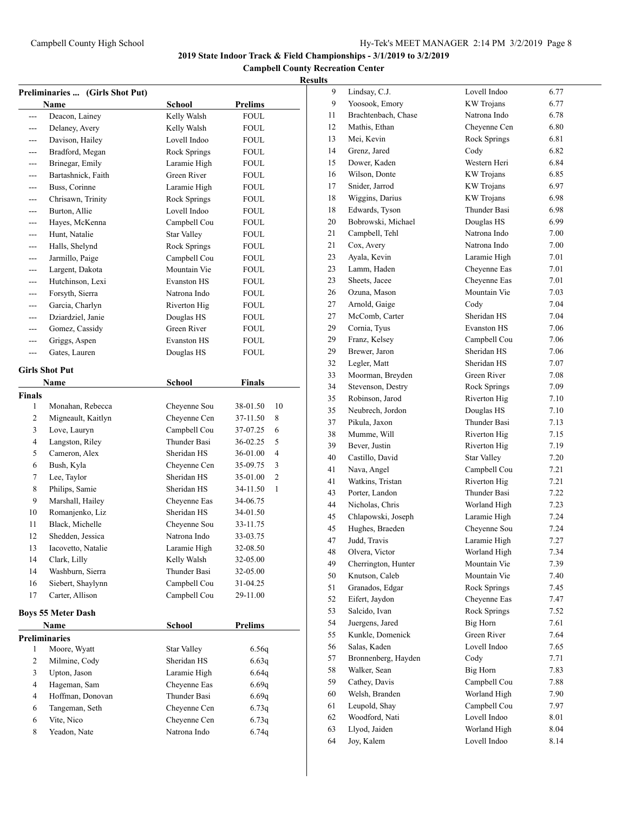**Campbell County Recreation Center**

| Preliminaries  (Girls Shot Put) |                           |                    |                            |
|---------------------------------|---------------------------|--------------------|----------------------------|
|                                 | Name                      | School             | <b>Prelims</b>             |
| ---                             | Deacon, Lainey            | Kelly Walsh        | FOUL                       |
| ---                             | Delaney, Avery            | Kelly Walsh        | FOUL                       |
| ---                             | Davison, Hailey           | Lovell Indoo       | <b>FOUL</b>                |
| ---                             | Bradford, Megan           | Rock Springs       | FOUL                       |
| $---$                           | Brinegar, Emily           | Laramie High       | FOUL                       |
| ---                             | Bartashnick, Faith        | Green River        | FOUL                       |
|                                 | Buss, Corinne             | Laramie High       | <b>FOUL</b>                |
| ---                             | Chrisawn, Trinity         | Rock Springs       | <b>FOUL</b>                |
| ---                             | Burton, Allie             | Lovell Indoo       | FOUL                       |
| ---                             | Hayes, McKenna            | Campbell Cou       | FOUL                       |
| ---                             | Hunt, Natalie             | <b>Star Valley</b> | FOUL                       |
| ---                             | Halls, Shelynd            | Rock Springs       | <b>FOUL</b>                |
| ---                             | Jarmillo, Paige           | Campbell Cou       | <b>FOUL</b>                |
| ---                             | Largent, Dakota           | Mountain Vie       | <b>FOUL</b>                |
| ---                             | Hutchinson, Lexi          | <b>Evanston HS</b> | FOUL                       |
| ---                             | Forsyth, Sierra           | Natrona Indo       | FOUL                       |
| ---                             | Garcia, Charlyn           | Riverton Hig       | FOUL                       |
| ---                             | Dziardziel, Janie         | Douglas HS         | FOUL                       |
| ---                             | Gomez, Cassidy            | Green River        | <b>FOUL</b>                |
| ---                             | Griggs, Aspen             | <b>Evanston HS</b> | FOUL                       |
| ---                             | Gates, Lauren             | Douglas HS         | <b>FOUL</b>                |
|                                 | <b>Girls Shot Put</b>     |                    |                            |
|                                 | <b>Name</b>               | School             | <b>Finals</b>              |
| <b>Finals</b>                   |                           |                    |                            |
| 1                               | Monahan, Rebecca          | Cheyenne Sou       | 10<br>38-01.50             |
| 2                               | Migneault, Kaitlyn        | Cheyenne Cen       | 8<br>37-11.50              |
| 3                               | Love, Lauryn              | Campbell Cou       | 6<br>37-07.25              |
| 4                               | Langston, Riley           | Thunder Basi       | 36-02.25<br>5              |
| 5                               | Cameron, Alex             | Sheridan HS        | $\overline{4}$<br>36-01.00 |
| 6                               | Bush, Kyla                | Cheyenne Cen       | 3<br>35-09.75              |
| 7                               | Lee, Taylor               | Sheridan HS        | $\overline{c}$<br>35-01.00 |
| 8                               | Philips, Samie            | Sheridan HS        | 34-11.50<br>1              |
| 9                               | Marshall, Hailey          | Cheyenne Eas       | 34-06.75                   |
| 10                              | Romanjenko, Liz           | Sheridan HS        | 34-01.50                   |
| 11                              | Black, Michelle           | Cheyenne Sou       | 33-11.75                   |
| 12                              | Shedden, Jessica          | Natrona Indo       | 33-03.75                   |
| 13                              | Iacovetto, Natalie        | Laramie High       | 32-08.50                   |
| 14                              | Clark, Lilly              | Kelly Walsh        | 32-05.00                   |
| 14                              | Washburn, Sierra          | Thunder Basi       | 32-05.00                   |
| 16                              | Siebert, Shaylynn         | Campbell Cou       | 31-04.25                   |
| 17                              | Carter, Allison           | Campbell Cou       | 29-11.00                   |
|                                 | <b>Boys 55 Meter Dash</b> |                    |                            |
|                                 | Name                      | School             | Prelims                    |
| <b>Preliminaries</b>            |                           |                    |                            |
| 1                               | Moore, Wyatt              | <b>Star Valley</b> | 6.56q                      |
| 2                               | Milmine, Cody             | Sheridan HS        | 6.63q                      |
| 3                               | Upton, Jason              | Laramie High       | 6.64q                      |
| 4                               | Hageman, Sam              | Cheyenne Eas       | 6.69q                      |
| 4                               | Hoffman, Donovan          | Thunder Basi       | 6.69q                      |
| 6                               | Tangeman, Seth            | Cheyenne Cen       | 6.73q                      |
| 6                               | Vite, Nico                | Cheyenne Cen       | 6.73q                      |
| 8                               | Yeadon, Nate              | Natrona Indo       | 6.74q                      |

| 9  | Lindsay, C.J.       | Lovell Indoo        | 6.77 |
|----|---------------------|---------------------|------|
| 9  | Yoosook, Emory      | <b>KW</b> Trojans   | 6.77 |
| 11 | Brachtenbach, Chase | Natrona Indo        | 6.78 |
| 12 | Mathis, Ethan       | Cheyenne Cen        | 6.80 |
| 13 | Mei, Kevin          | <b>Rock Springs</b> | 6.81 |
| 14 | Grenz, Jared        | Cody                | 6.82 |
| 15 | Dower, Kaden        | Western Heri        | 6.84 |
| 16 | Wilson, Donte       | KW Trojans          | 6.85 |
| 17 | Snider, Jarrod      | <b>KW</b> Trojans   | 6.97 |
| 18 | Wiggins, Darius     | <b>KW</b> Trojans   | 6.98 |
| 18 | Edwards, Tyson      | Thunder Basi        | 6.98 |
| 20 | Bobrowski, Michael  | Douglas HS          | 6.99 |
| 21 | Campbell, Tehl      | Natrona Indo        | 7.00 |
| 21 | Cox, Avery          | Natrona Indo        | 7.00 |
| 23 | Ayala, Kevin        | Laramie High        | 7.01 |
| 23 | Lamm, Haden         | Cheyenne Eas        | 7.01 |
| 23 | Sheets, Jacee       | Cheyenne Eas        | 7.01 |
| 26 | Ozuna, Mason        | Mountain Vie        | 7.03 |
| 27 | Arnold, Gaige       | Cody                | 7.04 |
| 27 | McComb, Carter      | Sheridan HS         | 7.04 |
| 29 | Cornia, Tyus        | <b>Evanston HS</b>  | 7.06 |
| 29 | Franz, Kelsey       | Campbell Cou        | 7.06 |
| 29 | Brewer, Jaron       | Sheridan HS         | 7.06 |
| 32 | Legler, Matt        | Sheridan HS         | 7.07 |
| 33 | Moorman, Breyden    | Green River         | 7.08 |
| 34 | Stevenson, Destry   | Rock Springs        | 7.09 |
| 35 | Robinson, Jarod     | Riverton Hig        | 7.10 |
| 35 | Neubrech, Jordon    | Douglas HS          | 7.10 |
| 37 | Pikula, Jaxon       | Thunder Basi        | 7.13 |
| 38 | Mumme, Will         | Riverton Hig        | 7.15 |
| 39 | Bever, Justin       | Riverton Hig        | 7.19 |
| 40 | Castillo, David     | <b>Star Valley</b>  | 7.20 |
| 41 | Nava, Angel         | Campbell Cou        | 7.21 |
| 41 | Watkins, Tristan    | Riverton Hig        | 7.21 |
| 43 | Porter, Landon      | Thunder Basi        | 7.22 |
| 44 | Nicholas, Chris     | Worland High        | 7.23 |
| 45 | Chlapowski, Joseph  | Laramie High        | 7.24 |
| 45 | Hughes, Braeden     | Cheyenne Sou        | 7.24 |
| 47 | Judd, Travis        | Laramie High        | 7.27 |
| 48 | Olvera, Victor      | Worland High        | 7.34 |
| 49 | Cherrington, Hunter | Mountain Vie        | 7.39 |
| 50 | Knutson, Caleb      | Mountain Vie        | 7.40 |
| 51 | Granados, Edgar     | Rock Springs        | 7.45 |
| 52 | Eifert, Jaydon      | Cheyenne Eas        | 7.47 |
| 53 | Salcido, Ivan       | Rock Springs        | 7.52 |
| 54 | Juergens, Jared     | Big Horn            | 7.61 |
| 55 | Kunkle, Domenick    | Green River         | 7.64 |
| 56 | Salas, Kaden        | Lovell Indoo        | 7.65 |
| 57 | Bronnenberg, Hayden | Cody                | 7.71 |
| 58 | Walker, Sean        | Big Horn            | 7.83 |
| 59 | Cathey, Davis       | Campbell Cou        | 7.88 |
| 60 | Welsh, Branden      | Worland High        | 7.90 |
| 61 | Leupold, Shay       | Campbell Cou        | 7.97 |
| 62 | Woodford, Nati      | Lovell Indoo        | 8.01 |
| 63 | Llyod, Jaiden       | Worland High        | 8.04 |
| 64 | Joy, Kalem          | Lovell Indoo        | 8.14 |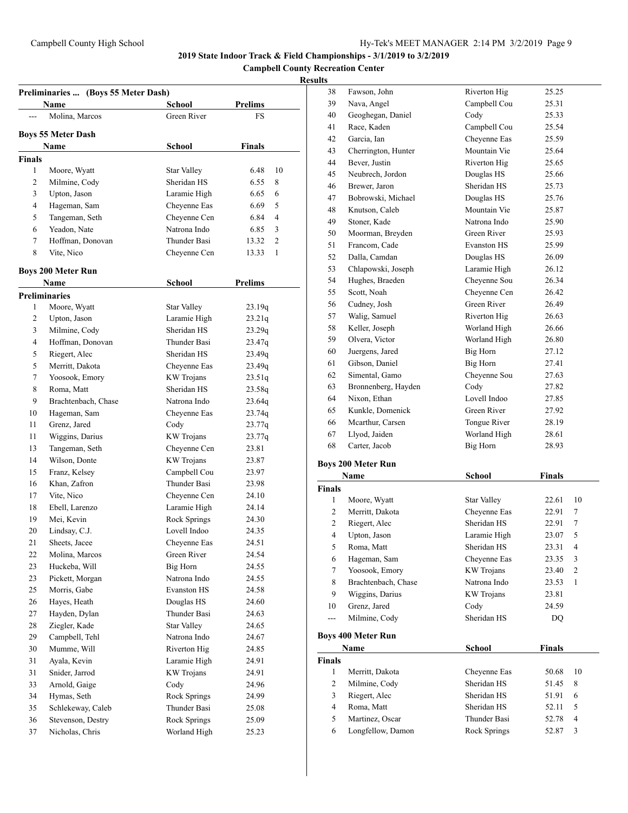**Campbell County Recreation Center**

|               | Preliminaries  (Boys 55 Meter Dash)<br>Name | <b>School</b>       | <b>Prelims</b> |                |
|---------------|---------------------------------------------|---------------------|----------------|----------------|
|               | Molina, Marcos                              | Green River         | FS             |                |
|               | <b>Boys 55 Meter Dash</b>                   |                     |                |                |
|               | Name                                        | School              | <b>Finals</b>  |                |
| <b>Finals</b> |                                             |                     |                |                |
| 1             | Moore, Wyatt                                | <b>Star Valley</b>  | 6.48           | 10             |
| 2             | Milmine, Cody                               | Sheridan HS         | 6.55           | 8              |
| 3             | Upton, Jason                                | Laramie High        | 6.65           | 6              |
| 4             | Hageman, Sam                                | Cheyenne Eas        | 6.69           | 5              |
| 5             | Tangeman, Seth                              | Cheyenne Cen        | 6.84           | 4              |
| 6             | Yeadon, Nate                                | Natrona Indo        | 6.85           | 3              |
| 7             | Hoffman, Donovan                            | Thunder Basi        | 13.32          | $\overline{c}$ |
| 8             | Vite, Nico                                  | Cheyenne Cen        | 13.33          | 1              |
|               | <b>Boys 200 Meter Run</b>                   |                     |                |                |
|               | Name                                        | School              | <b>Prelims</b> |                |
|               | <b>Preliminaries</b>                        |                     |                |                |
| 1             | Moore, Wyatt                                | <b>Star Valley</b>  | 23.19q         |                |
| 2             | Upton, Jason                                | Laramie High        | 23.21q         |                |
| 3             | Milmine, Cody                               | Sheridan HS         | 23.29q         |                |
| 4             | Hoffman, Donovan                            | Thunder Basi        | 23.47q         |                |
| 5             | Riegert, Alec                               | Sheridan HS         | 23.49q         |                |
| 5             | Merritt, Dakota                             | Cheyenne Eas        | 23.49q         |                |
| 7             | Yoosook, Emory                              | <b>KW</b> Trojans   | 23.51q         |                |
| 8             | Roma, Matt                                  | Sheridan HS         | 23.58q         |                |
| 9             | Brachtenbach, Chase                         | Natrona Indo        | 23.64q         |                |
| 10            | Hageman, Sam                                | Cheyenne Eas        | 23.74q         |                |
| 11            | Grenz, Jared                                | Cody                | 23.77q         |                |
| 11            | Wiggins, Darius                             | <b>KW</b> Trojans   | 23.77q         |                |
| 13            | Tangeman, Seth                              | Cheyenne Cen        | 23.81          |                |
| 14            | Wilson, Donte                               | <b>KW</b> Trojans   | 23.87          |                |
| 15            | Franz, Kelsey                               | Campbell Cou        | 23.97          |                |
| 16            | Khan, Zafron                                | Thunder Basi        | 23.98          |                |
| 17            | Vite, Nico                                  | Cheyenne Cen        | 24.10          |                |
| 18            | Ebell, Larenzo                              | Laramie High        | 24.14          |                |
| 19            | Mei, Kevin                                  | <b>Rock Springs</b> | 24.30          |                |
| 20            | Lindsay, C.J.                               | Lovell Indoo        | 24.35          |                |
| 21            | Sheets, Jacee                               | Chevenne Eas        | 24.51          |                |
| 22            | Molina, Marcos                              | Green River         | 24.54          |                |
| 23            | Huckeba, Will                               | Big Horn            | 24.55          |                |
| 23            | Pickett, Morgan                             | Natrona Indo        | 24.55          |                |
| 25            | Morris, Gabe                                | <b>Evanston HS</b>  | 24.58          |                |
| 26            | Hayes, Heath                                | Douglas HS          | 24.60          |                |
| 27            | Hayden, Dylan                               | Thunder Basi        | 24.63          |                |
| 28            | Ziegler, Kade                               | <b>Star Valley</b>  | 24.65          |                |
| 29            | Campbell, Tehl                              | Natrona Indo        | 24.67          |                |
| 30            | Mumme, Will                                 | Riverton Hig        | 24.85          |                |
| 31            | Ayala, Kevin                                | Laramie High        |                |                |
| 31            | Snider, Jarrod                              | <b>KW</b> Trojans   | 24.91          |                |
|               |                                             |                     | 24.91          |                |
| 33            | Arnold, Gaige                               | Cody                | 24.96          |                |
| 34            | Hymas, Seth                                 | Rock Springs        | 24.99          |                |
| 35            | Schlekeway, Caleb                           | Thunder Basi        | 25.08          |                |
| 36            | Stevenson, Destry                           | Rock Springs        | 25.09          |                |
| 37            | Nicholas, Chris                             | Worland High        | 25.23          |                |

| 38             | Fawson, John              | Riverton Hig       | 25.25         |                |
|----------------|---------------------------|--------------------|---------------|----------------|
| 39             | Nava, Angel               | Campbell Cou       | 25.31         |                |
| 40             | Geoghegan, Daniel         | Cody               | 25.33         |                |
| 41             | Race, Kaden               | Campbell Cou       | 25.54         |                |
| 42             | Garcia, Ian               | Cheyenne Eas       | 25.59         |                |
| 43             | Cherrington, Hunter       | Mountain Vie       | 25.64         |                |
| 44             | Bever, Justin             | Riverton Hig       | 25.65         |                |
| 45             | Neubrech, Jordon          | Douglas HS         | 25.66         |                |
| 46             | Brewer, Jaron             | Sheridan HS        | 25.73         |                |
| 47             | Bobrowski, Michael        | Douglas HS         | 25.76         |                |
| 48             | Knutson, Caleb            | Mountain Vie       | 25.87         |                |
| 49             | Stoner, Kade              | Natrona Indo       | 25.90         |                |
| 50             | Moorman, Breyden          | Green River        | 25.93         |                |
| 51             | Francom, Cade             | <b>Evanston HS</b> | 25.99         |                |
| 52             | Dalla, Camdan             | Douglas HS         | 26.09         |                |
| 53             | Chlapowski, Joseph        | Laramie High       | 26.12         |                |
| 54             | Hughes, Braeden           | Cheyenne Sou       | 26.34         |                |
| 55             | Scott, Noah               | Cheyenne Cen       | 26.42         |                |
| 56             | Cudney, Josh              | Green River        | 26.49         |                |
| 57             | Walig, Samuel             | Riverton Hig       | 26.63         |                |
| 58             | Keller, Joseph            | Worland High       | 26.66         |                |
| 59             | Olvera, Victor            | Worland High       | 26.80         |                |
| 60             | Juergens, Jared           | Big Horn           | 27.12         |                |
| 61             | Gibson, Daniel            | Big Horn           | 27.41         |                |
| 62             | Simental, Gamo            | Cheyenne Sou       | 27.63         |                |
| 63             | Bronnenberg, Hayden       | Cody               | 27.82         |                |
| 64             | Nixon, Ethan              | Lovell Indoo       | 27.85         |                |
| 65             | Kunkle, Domenick          | Green River        | 27.92         |                |
| 66             | Mcarthur, Carsen          | Tongue River       | 28.19         |                |
| 67             | Llyod, Jaiden             | Worland High       | 28.61         |                |
| 68             | Carter, Jacob             | Big Horn           | 28.93         |                |
|                | <b>Boys 200 Meter Run</b> |                    |               |                |
|                | <b>Name</b>               | School             | <b>Finals</b> |                |
| <b>Finals</b>  |                           |                    |               |                |
| 1              | Moore, Wyatt              | Star Valley        | 22.61         | 10             |
| $\overline{c}$ | Merritt, Dakota           | Cheyenne Eas       | 22.91         | 7              |
| 2              | Riegert, Alec             | Sheridan HS        | 22.91         | 7              |
| 4              | Upton, Jason              | Laramie High       | 23.07         | 5              |
| 5              | Roma, Matt                | Sheridan HS        | 23.31         | $\overline{4}$ |
| 6              | Hageman, Sam              | Cheyenne Eas       | 23.35         | 3              |
| $\overline{7}$ | Yoosook, Emory            | <b>KW</b> Trojans  | 23.40         | $\overline{c}$ |
|                |                           |                    |               |                |

| 8             | Brachtenbach, Chase       | Natrona Indo      | 23.53         |    |
|---------------|---------------------------|-------------------|---------------|----|
| 9             | Wiggins, Darius           | <b>KW</b> Trojans | 23.81         |    |
| 10            | Grenz, Jared              | Cody              | 24.59         |    |
| ---           | Milmine, Cody             | Sheridan HS       | DO            |    |
|               | <b>Boys 400 Meter Run</b> |                   |               |    |
|               | Name                      | School            | <b>Finals</b> |    |
| <b>Finals</b> |                           |                   |               |    |
| 1             | Merritt, Dakota           | Chevenne Eas      | 50.68         | 10 |
| 2             | Milmine, Cody             | Sheridan HS       | 51.45         | 8  |
| 3             | Riegert, Alec             | Sheridan HS       | 51.91         | 6  |
| 4             | Roma, Matt                | Sheridan HS       | 52.11         | 5  |
| 5             | Martinez, Oscar           | Thunder Basi      | 52.78         | 4  |
| 6             | Longfellow, Damon         | Rock Springs      | 52.87         | 3  |
|               |                           |                   |               |    |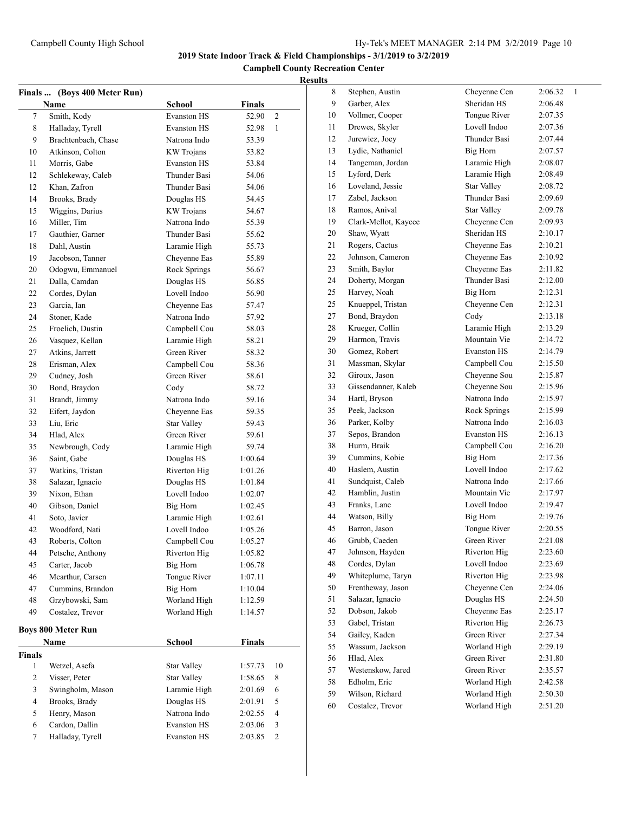**Campbell County Recreation Center**

|                | Finals  (Boys 400 Meter Run)      |                    |               |    |
|----------------|-----------------------------------|--------------------|---------------|----|
|                | Name                              | School             | <b>Finals</b> |    |
| 7              | Smith, Kody                       | <b>Evanston HS</b> | 52.90         | 2  |
| 8              | Halladay, Tyrell                  | <b>Evanston HS</b> | 52.98         | 1  |
| 9              | Brachtenbach, Chase               | Natrona Indo       | 53.39         |    |
| 10             | Atkinson, Colton                  | <b>KW</b> Trojans  | 53.82         |    |
| 11             | Morris, Gabe                      | <b>Evanston HS</b> | 53.84         |    |
| 12             | Schlekeway, Caleb                 | Thunder Basi       | 54.06         |    |
| 12             | Khan, Zafron                      | Thunder Basi       | 54.06         |    |
| 14             | Brooks, Brady                     | Douglas HS         | 54.45         |    |
| 15             | Wiggins, Darius                   | <b>KW</b> Trojans  | 54.67         |    |
| 16             | Miller, Tim                       | Natrona Indo       | 55.39         |    |
| 17             | Gauthier, Garner                  | Thunder Basi       | 55.62         |    |
| 18             | Dahl, Austin                      | Laramie High       | 55.73         |    |
| 19             | Jacobson, Tanner                  | Cheyenne Eas       | 55.89         |    |
| 20             | Odogwu, Emmanuel                  | Rock Springs       | 56.67         |    |
| 21             | Dalla, Camdan                     | Douglas HS         | 56.85         |    |
| 22             | Cordes, Dylan                     | Lovell Indoo       | 56.90         |    |
| 23             | Garcia, Ian                       | Cheyenne Eas       | 57.47         |    |
| 24             | Stoner, Kade                      | Natrona Indo       | 57.92         |    |
| 25             | Froelich, Dustin                  | Campbell Cou       | 58.03         |    |
| 26             | Vasquez, Kellan                   | Laramie High       | 58.21         |    |
| 27             | Atkins, Jarrett                   | Green River        | 58.32         |    |
| 28             | Erisman, Alex                     | Campbell Cou       | 58.36         |    |
| 29             | Cudney, Josh                      | Green River        | 58.61         |    |
| 30             | Bond, Braydon                     | Cody               | 58.72         |    |
| 31             | Brandt, Jimmy                     | Natrona Indo       | 59.16         |    |
| 32             | Eifert, Jaydon                    | Cheyenne Eas       | 59.35         |    |
| 33             | Liu, Eric                         | <b>Star Valley</b> | 59.43         |    |
| 34             | Hlad, Alex                        | Green River        | 59.61         |    |
| 35             | Newbrough, Cody                   | Laramie High       | 59.74         |    |
| 36             | Saint, Gabe                       | Douglas HS         | 1:00.64       |    |
| 37             | Watkins, Tristan                  | Riverton Hig       | 1:01.26       |    |
| 38             | Salazar, Ignacio                  | Douglas HS         | 1:01.84       |    |
| 39             | Nixon, Ethan                      | Lovell Indoo       | 1:02.07       |    |
| 40             | Gibson, Daniel                    | Big Horn           | 1:02.45       |    |
| 41             | Soto, Javier                      | Laramie High       | 1:02.61       |    |
| 42             | Woodford, Nati                    | Lovell Indoo       | 1:05.26       |    |
| 43             | Roberts, Colton                   | Campbell Cou       | 1:05.27       |    |
| 44             | Petsche, Anthony                  | Riverton Hig       | 1:05.82       |    |
| 45             | Carter, Jacob                     | Big Horn           | 1:06.78       |    |
| 46             | Mcarthur, Carsen                  | Tongue River       | 1:07.11       |    |
| 47             | Cummins, Brandon                  | Big Horn           | 1:10.04       |    |
| 48             | Grzybowski, Sam                   | Worland High       | 1:12.59       |    |
| 49             | Costalez, Trevor                  | Worland High       | 1:14.57       |    |
|                |                                   |                    |               |    |
|                | <b>Boys 800 Meter Run</b><br>Name |                    | <b>Finals</b> |    |
| <b>Finals</b>  |                                   | School             |               |    |
| 1              | Wetzel, Asefa                     | Star Valley        | 1:57.73       | 10 |
| $\overline{c}$ | Visser, Peter                     | <b>Star Valley</b> |               | 8  |
| 3              | Swingholm, Mason                  | Laramie High       | 1:58.65       | 6  |
| 4              | Brooks, Brady                     | Douglas HS         | 2:01.69       | 5  |
| 5              |                                   | Natrona Indo       | 2:01.91       | 4  |
| 6              | Henry, Mason<br>Cardon, Dallin    | <b>Evanston HS</b> | 2:02.55       | 3  |
|                |                                   | <b>Evanston HS</b> | 2:03.06       | 2  |
| 7              | Halladay, Tyrell                  |                    | 2:03.85       |    |

| 8  | Stephen, Austin      | Cheyenne Cen        | 2:06.32<br>1 |
|----|----------------------|---------------------|--------------|
| 9  | Garber, Alex         | Sheridan HS         | 2:06.48      |
| 10 | Vollmer, Cooper      | <b>Tongue River</b> | 2:07.35      |
| 11 | Drewes, Skyler       | Lovell Indoo        | 2:07.36      |
| 12 | Jurewicz, Joey       | <b>Thunder Basi</b> | 2:07.44      |
| 13 | Lydic, Nathaniel     | Big Horn            | 2:07.57      |
| 14 | Tangeman, Jordan     | Laramie High        | 2:08.07      |
| 15 | Lyford, Derk         | Laramie High        | 2:08.49      |
| 16 | Loveland, Jessie     | <b>Star Valley</b>  | 2:08.72      |
| 17 | Zabel, Jackson       | <b>Thunder Basi</b> | 2:09.69      |
| 18 | Ramos, Anival        | <b>Star Valley</b>  | 2:09.78      |
| 19 | Clark-Mellot, Kaycee | Cheyenne Cen        | 2:09.93      |
| 20 | Shaw, Wyatt          | Sheridan HS         | 2:10.17      |
| 21 | Rogers, Cactus       | Cheyenne Eas        | 2:10.21      |
| 22 | Johnson, Cameron     | Cheyenne Eas        | 2:10.92      |
| 23 | Smith, Baylor        | Cheyenne Eas        | 2:11.82      |
| 24 | Doherty, Morgan      | Thunder Basi        | 2:12.00      |
| 25 | Harvey, Noah         | Big Horn            | 2:12.31      |
| 25 | Knueppel, Tristan    | Cheyenne Cen        | 2:12.31      |
| 27 | Bond, Braydon        | Cody                | 2:13.18      |
| 28 | Krueger, Collin      | Laramie High        | 2:13.29      |
| 29 | Harmon, Travis       | Mountain Vie        | 2:14.72      |
| 30 | Gomez, Robert        | <b>Evanston HS</b>  | 2:14.79      |
| 31 | Massman, Skylar      | Campbell Cou        | 2:15.50      |
| 32 | Giroux, Jason        | Cheyenne Sou        | 2:15.87      |
| 33 | Gissendanner, Kaleb  | Cheyenne Sou        | 2:15.96      |
| 34 | Hartl, Bryson        | Natrona Indo        | 2:15.97      |
| 35 | Peek, Jackson        | Rock Springs        | 2:15.99      |
| 36 | Parker, Kolby        | Natrona Indo        | 2:16.03      |
| 37 | Sepos, Brandon       | <b>Evanston HS</b>  | 2:16.13      |
| 38 | Hurm, Braik          | Campbell Cou        | 2:16.20      |
| 39 | Cummins, Kobie       | Big Horn            | 2:17.36      |
|    | Haslem, Austin       | Lovell Indoo        |              |
| 40 |                      |                     | 2:17.62      |
| 41 | Sundquist, Caleb     | Natrona Indo        | 2:17.66      |
| 42 | Hamblin, Justin      | Mountain Vie        | 2:17.97      |
| 43 | Franks, Lane         | Lovell Indoo        | 2:19.47      |
| 44 | Watson, Billy        | Big Horn            | 2:19.76      |
| 45 | Barron, Jason        | Tongue River        | 2:20.55      |
| 46 | Grubb, Caeden        | Green River         | 2:21.08      |
| 47 | Johnson, Hayden      | Riverton Hig        | 2:23.60      |
| 48 | Cordes, Dylan        | Lovell Indoo        | 2:23.69      |
| 49 | Whiteplume, Taryn    | Riverton Hig        | 2:23.98      |
| 50 | Frentheway, Jason    | Cheyenne Cen        | 2:24.06      |
| 51 | Salazar, Ignacio     | Douglas HS          | 2:24.50      |
| 52 | Dobson, Jakob        | Cheyenne Eas        | 2:25.17      |
| 53 | Gabel, Tristan       | Riverton Hig        | 2:26.73      |
| 54 | Gailey, Kaden        | Green River         | 2:27.34      |
| 55 | Wassum, Jackson      | Worland High        | 2:29.19      |
| 56 | Hlad, Alex           | Green River         | 2:31.80      |
| 57 | Westenskow, Jared    | Green River         | 2:35.57      |
| 58 | Edholm, Eric         | Worland High        | 2:42.58      |
| 59 | Wilson, Richard      | Worland High        | 2:50.30      |
| 60 | Costalez, Trevor     | Worland High        | 2:51.20      |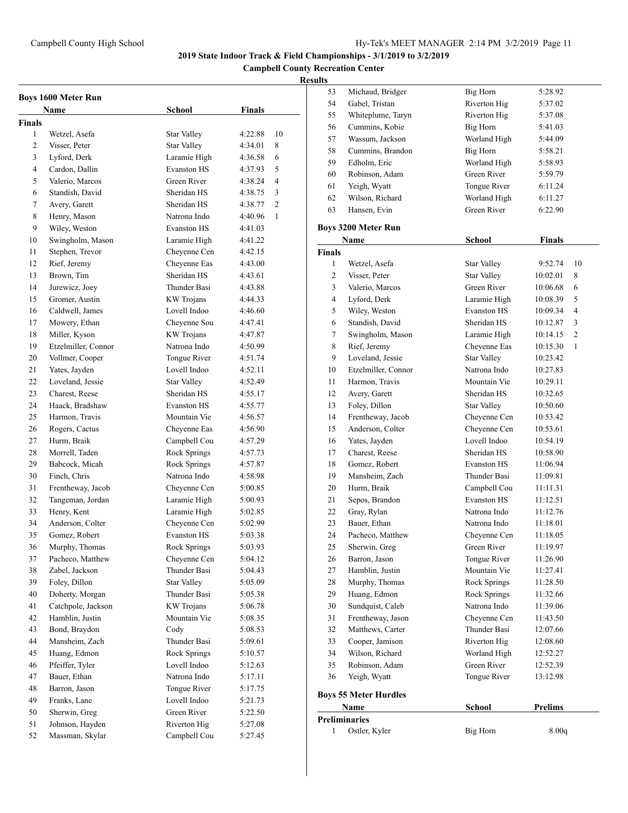**Campbell County Recreation Center**

|        | <b>Boys 1600 Meter Run</b> |                    |               |    |
|--------|----------------------------|--------------------|---------------|----|
|        | Name                       | School             | <b>Finals</b> |    |
| Finals |                            |                    |               |    |
| 1      | Wetzel, Asefa              | Star Valley        | 4:22.88       | 10 |
| 2      | Visser, Peter              | <b>Star Valley</b> | 4:34.01       | 8  |
| 3      | Lyford, Derk               | Laramie High       | 4:36.58       | 6  |
| 4      | Cardon, Dallin             | <b>Evanston HS</b> | 4:37.93       | 5  |
| 5      | Valerio, Marcos            | Green River        | 4:38.24       | 4  |
| 6      | Standish, David            | Sheridan HS        | 4:38.75       | 3  |
| 7      | Avery, Garett              | Sheridan HS        | 4:38.77       | 2  |
| 8      | Henry, Mason               | Natrona Indo       | 4:40.96       | 1  |
| 9      | Wiley, Weston              | <b>Evanston HS</b> | 4:41.03       |    |
| 10     | Swingholm, Mason           | Laramie High       | 4:41.22       |    |
| 11     | Stephen, Trevor            | Cheyenne Cen       | 4:42.15       |    |
| 12     | Rief, Jeremy               | Cheyenne Eas       | 4:43.00       |    |
| 13     | Brown, Tim                 | Sheridan HS        | 4:43.61       |    |
| 14     | Jurewicz, Joey             | Thunder Basi       | 4:43.88       |    |
| 15     | Gromer, Austin             | <b>KW</b> Trojans  | 4:44.33       |    |
| 16     | Caldwell, James            | Lovell Indoo       | 4:46.60       |    |
| 17     | Mowery, Ethan              | Cheyenne Sou       | 4:47.41       |    |
| 18     | Miller, Kyson              | <b>KW</b> Trojans  | 4:47.87       |    |
| 19     | Etzelmiller, Connor        | Natrona Indo       | 4:50.99       |    |
| 20     | Vollmer, Cooper            | Tongue River       | 4:51.74       |    |
| 21     | Yates, Jayden              | Lovell Indoo       | 4:52.11       |    |
| 22     | Loveland, Jessie           | <b>Star Valley</b> | 4:52.49       |    |
| 23     | Charest, Reese             | Sheridan HS        | 4:55.17       |    |
| 24     | Haack, Bradshaw            | <b>Evanston HS</b> | 4:55.77       |    |
| 25     | Harmon, Travis             | Mountain Vie       | 4:56.57       |    |
| 26     | Rogers, Cactus             | Cheyenne Eas       | 4:56.90       |    |
| 27     | Hurm, Braik                | Campbell Cou       | 4:57.29       |    |
| 28     | Morrell, Taden             | Rock Springs       | 4:57.73       |    |
| 29     | Babcock, Micah             | Rock Springs       | 4:57.87       |    |
| 30     | Finch, Chris               | Natrona Indo       | 4:58.98       |    |
| 31     | Frentheway, Jacob          | Cheyenne Cen       | 5:00.85       |    |
| 32     | Tangeman, Jordan           | Laramie High       | 5:00.93       |    |
| 33     | Henry, Kent                | Laramie High       | 5:02.85       |    |
| 34     | Anderson, Colter           | Cheyenne Cen       | 5:02.99       |    |
| 35     | Gomez, Robert              | <b>Evanston HS</b> | 5:03.38       |    |
| 36     | Murphy, Thomas             | Rock Springs       | 5:03.93       |    |
| 37     | Pacheco, Matthew           | Cheyenne Cen       | 5:04.12       |    |
| 38     | Zabel, Jackson             | Thunder Basi       | 5:04.43       |    |
| 39     | Foley, Dillon              | <b>Star Valley</b> | 5:05.09       |    |
| 40     | Doherty, Morgan            | Thunder Basi       | 5:05.38       |    |
| 41     | Catchpole, Jackson         | <b>KW</b> Trojans  | 5:06.78       |    |
| 42     | Hamblin, Justin            | Mountain Vie       | 5:08.35       |    |
| 43     | Bond, Braydon              | Cody               | 5:08.53       |    |
| 44     | Mansheim, Zach             | Thunder Basi       | 5:09.61       |    |
| 45     | Huang, Edmon               | Rock Springs       | 5:10.57       |    |
| 46     | Pfeiffer, Tyler            | Lovell Indoo       | 5:12.63       |    |
| 47     | Bauer, Ethan               | Natrona Indo       | 5:17.11       |    |
| 48     | Barron, Jason              | Tongue River       | 5:17.75       |    |
| 49     | Franks, Lane               | Lovell Indoo       | 5:21.73       |    |
| 50     | Sherwin, Greg              | Green River        | 5:22.50       |    |
| 51     | Johnson, Hayden            | Riverton Hig       | 5:27.08       |    |
| 52     | Massman, Skylar            | Campbell Cou       | 5:27.45       |    |

| <b>SUILS</b>  |                              |                    |                |
|---------------|------------------------------|--------------------|----------------|
| 53            | Michaud, Bridger             | Big Horn           | 5:28.92        |
| 54            | Gabel, Tristan               | Riverton Hig       | 5:37.02        |
| 55            | Whiteplume, Taryn            | Riverton Hig       | 5:37.08        |
| 56            | Cummins, Kobie               | Big Horn           | 5:41.03        |
| 57            | Wassum, Jackson              | Worland High       | 5:44.09        |
| 58            | Cummins, Brandon             | Big Horn           | 5:58.21        |
| 59            | Edholm, Eric                 | Worland High       | 5:58.93        |
| 60            | Robinson, Adam               | Green River        | 5:59.79        |
| 61            | Yeigh, Wyatt                 | Tongue River       | 6:11.24        |
| 62            | Wilson, Richard              | Worland High       | 6:11.27        |
| 63            | Hansen, Evin                 | Green River        | 6:22.90        |
|               | <b>Boys 3200 Meter Run</b>   |                    |                |
|               | Name                         | <b>School</b>      | <b>Finals</b>  |
| <b>Finals</b> |                              |                    |                |
| 1             | Wetzel, Asefa                | Star Valley        | 9:52.74<br>10  |
| 2             | Visser, Peter                | Star Valley        | 10:02.01<br>8  |
| 3             | Valerio, Marcos              | Green River        | 10:06.68<br>6  |
| 4             | Lyford, Derk                 | Laramie High       | 5<br>10:08.39  |
| 5             | Wiley, Weston                | <b>Evanston HS</b> | 4<br>10:09.34  |
| 6             | Standish, David              | Sheridan HS        | 3<br>10:12.87  |
| 7             | Swingholm, Mason             | Laramie High       | 2<br>10:14.15  |
| 8             | Rief, Jeremy                 | Cheyenne Eas       | 10:15.30<br>1  |
| 9             | Loveland, Jessie             | <b>Star Valley</b> | 10:23.42       |
| 10            | Etzelmiller, Connor          | Natrona Indo       | 10:27.83       |
| 11            | Harmon, Travis               | Mountain Vie       | 10:29.11       |
| 12            | Avery, Garett                | Sheridan HS        | 10:32.65       |
| 13            | Foley, Dillon                | Star Valley        | 10:50.60       |
| 14            | Frentheway, Jacob            | Cheyenne Cen       | 10:53.42       |
| 15            | Anderson, Colter             | Cheyenne Cen       | 10:53.61       |
| 16            | Yates, Jayden                | Lovell Indoo       | 10:54.19       |
| 17            | Charest, Reese               | Sheridan HS        | 10:58.90       |
| 18            | Gomez, Robert                | <b>Evanston HS</b> | 11:06.94       |
| 19            | Mansheim, Zach               | Thunder Basi       | 11:09.81       |
| 20            | Hurm, Braik                  | Campbell Cou       | 11:11.31       |
| 21            | Sepos, Brandon               | <b>Evanston HS</b> | 11:12.51       |
| 22            | Gray, Rylan                  | Natrona Indo       | 11:12.76       |
| 23            | Bauer, Ethan                 | Natrona Indo       | 11:18.01       |
| 24            | Pacheco, Matthew             | Cheyenne Cen       | 11:18.05       |
| 25            | Sherwin, Greg                | Green River        | 11:19.97       |
| 26            | Barron, Jason                | Tongue River       | 11:26.90       |
| 27            | Hamblin, Justin              | Mountain Vie       | 11:27.41       |
| 28            | Murphy, Thomas               | Rock Springs       | 11:28.50       |
| 29            | Huang, Edmon                 | Rock Springs       | 11:32.66       |
| 30            | Sundquist, Caleb             | Natrona Indo       | 11:39.06       |
| 31            | Frentheway, Jason            | Cheyenne Cen       | 11:43.50       |
| 32            | Matthews, Carter             | Thunder Basi       | 12:07.66       |
| 33            | Cooper, Jamison              | Riverton Hig       | 12:08.60       |
| 34            | Wilson, Richard              | Worland High       | 12:52.27       |
| 35            | Robinson, Adam               | Green River        | 12:52.39       |
| 36            | Yeigh, Wyatt                 | Tongue River       | 13:12.98       |
|               | <b>Boys 55 Meter Hurdles</b> |                    |                |
|               | Name                         | <b>School</b>      | <b>Prelims</b> |
|               | <b>Preliminaries</b>         |                    |                |
| 1             | Ostler, Kyler                | Big Horn           | 8.00q          |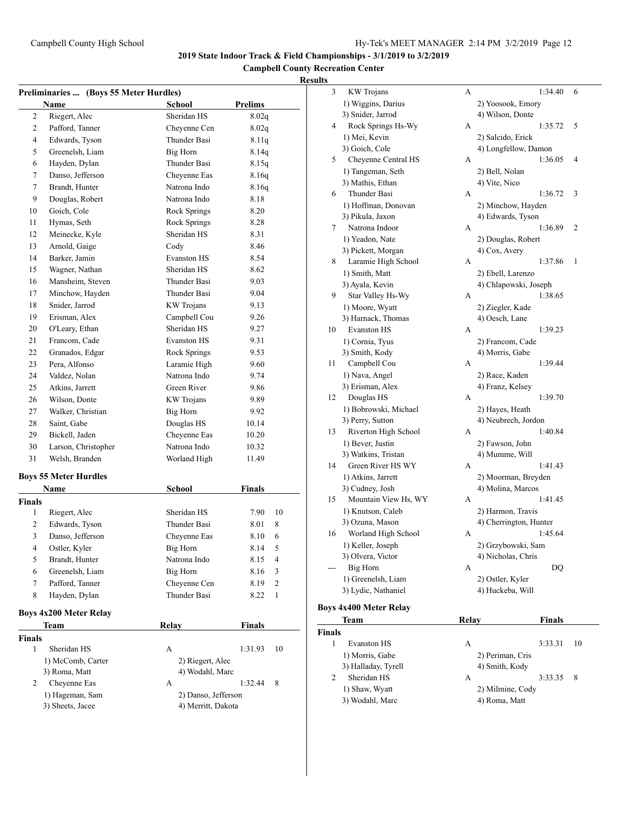**Campbell County Recreation Center**

| Preliminaries  (Boys 55 Meter Hurdles) |                                     |                                           |               |    |
|----------------------------------------|-------------------------------------|-------------------------------------------|---------------|----|
|                                        | Name                                | School                                    | Prelims       |    |
| 2                                      | Riegert, Alec                       | Sheridan HS                               | 8.02q         |    |
| 2                                      | Pafford, Tanner                     | Cheyenne Cen                              | 8.02q         |    |
| 4                                      | Edwards, Tyson                      | <b>Thunder Basi</b>                       | 8.11q         |    |
| 5                                      | Greenelsh, Liam                     | Big Horn                                  | 8.14q         |    |
| 6                                      | Hayden, Dylan                       | Thunder Basi                              | 8.15q         |    |
| 7                                      | Danso, Jefferson                    | Cheyenne Eas                              | 8.16q         |    |
| 7                                      | Brandt, Hunter                      | Natrona Indo                              | 8.16q         |    |
| 9                                      | Douglas, Robert                     | Natrona Indo                              | 8.18          |    |
| 10                                     | Goich, Cole                         | Rock Springs                              | 8.20          |    |
| 11                                     | Hymas, Seth                         | Rock Springs                              | 8.28          |    |
| 12                                     | Meinecke, Kyle                      | Sheridan HS                               | 8.31          |    |
| 13                                     | Arnold, Gaige                       | Cody                                      | 8.46          |    |
| 14                                     | Barker, Jamin                       | <b>Evanston HS</b>                        | 8.54          |    |
| 15                                     | Wagner, Nathan                      | Sheridan HS                               | 8.62          |    |
| 16                                     | Mansheim, Steven                    | Thunder Basi                              | 9.03          |    |
| 17                                     | Minchow, Hayden                     | <b>Thunder Basi</b>                       | 9.04          |    |
| 18                                     | Snider, Jarrod                      | KW Trojans                                | 9.13          |    |
| 19                                     | Erisman, Alex                       | Campbell Cou                              | 9.26          |    |
| 20                                     | O'Leary, Ethan                      | Sheridan HS                               | 9.27          |    |
| 21                                     | Francom, Cade                       | <b>Evanston HS</b>                        | 9.31          |    |
| 22                                     | Granados, Edgar                     | Rock Springs                              | 9.53          |    |
| 23                                     | Pera, Alfonso                       | Laramie High                              | 9.60          |    |
| 24                                     | Valdez, Nolan                       | Natrona Indo                              | 9.74          |    |
| 25                                     | Atkins, Jarrett                     | Green River                               | 9.86          |    |
| 26                                     | Wilson, Donte                       | <b>KW</b> Trojans                         | 9.89          |    |
| 27                                     | Walker, Christian                   | <b>Big Horn</b>                           | 9.92          |    |
| 28                                     | Saint, Gabe                         | Douglas HS                                | 10.14         |    |
| 29                                     | Bickell, Jaden                      | Cheyenne Eas                              | 10.20         |    |
| 30                                     | Larson, Christopher                 | Natrona Indo                              | 10.32         |    |
| 31                                     | Welsh, Branden                      | Worland High                              | 11.49         |    |
|                                        | <b>Boys 55 Meter Hurdles</b>        |                                           |               |    |
|                                        | Name                                | <b>School</b>                             | <b>Finals</b> |    |
| <b>Finals</b>                          |                                     |                                           |               |    |
| 1                                      | Riegert, Alec                       | Sheridan HS                               | 7.90          | 10 |
| 2                                      | Edwards, Tyson                      | Thunder Basi                              | 8.01          | 8  |
| 3                                      | Danso, Jefferson                    | Cheyenne Eas                              | 8.10          | 6  |
| 4                                      | Ostler, Kyler                       | Big Horn                                  | 8.14          | 5  |
| 5                                      | Brandt, Hunter                      | Natrona Indo                              | 8.15          | 4  |
| 6                                      | Greenelsh, Liam                     | Big Horn                                  | 8.16          | 3  |
| 7                                      | Pafford, Tanner                     | Cheyenne Cen                              | 8.19          | 2  |
| 8                                      | Hayden, Dylan                       | Thunder Basi                              | 8.22          | 1  |
|                                        | <b>Boys 4x200 Meter Relay</b>       |                                           |               |    |
|                                        | Team                                | Relay                                     | <b>Finals</b> |    |
| <b>Finals</b>                          |                                     |                                           |               |    |
| 1                                      | Sheridan HS                         | А                                         | 1:31.93       | 10 |
|                                        | 1) McComb, Carter                   | 2) Riegert, Alec                          |               |    |
|                                        | 3) Roma, Matt                       | 4) Wodahl, Marc                           |               |    |
| 2                                      | Cheyenne Eas                        | А                                         | 1:32.44       | 8  |
|                                        | 1) Hageman, Sam<br>3) Sheets, Jacee | 2) Danso, Jefferson<br>4) Merritt, Dakota |               |    |
|                                        |                                     |                                           |               |    |

| uns    |                               |       |                        |                 |
|--------|-------------------------------|-------|------------------------|-----------------|
| 3      | <b>KW</b> Trojans             | A     | 1:34.40                | 6               |
|        | 1) Wiggins, Darius            |       | 2) Yoosook, Emory      |                 |
|        | 3) Snider, Jarrod             |       | 4) Wilson, Donte       |                 |
| 4      | Rock Springs Hs-Wy            | A     | 1:35.72                | 5               |
|        | 1) Mei, Kevin                 |       | 2) Salcido, Erick      |                 |
|        | 3) Goich, Cole                |       | 4) Longfellow, Damon   |                 |
| 5      | Cheyenne Central HS           | A     | 1:36.05                | 4               |
|        | 1) Tangeman, Seth             |       | 2) Bell, Nolan         |                 |
|        | 3) Mathis, Ethan              |       | 4) Vite, Nico          |                 |
| 6      | Thunder Basi                  | А     | 1:36.72                | 3               |
|        | 1) Hoffman, Donovan           |       | 2) Minchow, Hayden     |                 |
|        | 3) Pikula, Jaxon              |       | 4) Edwards, Tyson      |                 |
| 7      | Natrona Indoor                | А     | 1:36.89                | 2               |
|        | 1) Yeadon, Nate               |       | 2) Douglas, Robert     |                 |
|        | 3) Pickett, Morgan            |       | 4) Cox, Avery          |                 |
| 8      | Laramie High School           | A     | 1:37.86                | 1               |
|        | 1) Smith, Matt                |       | 2) Ebell, Larenzo      |                 |
|        | 3) Ayala, Kevin               |       | 4) Chlapowski, Joseph  |                 |
| 9      | Star Valley Hs-Wy             | А     | 1:38.65                |                 |
|        | 1) Moore, Wyatt               |       | 2) Ziegler, Kade       |                 |
|        | 3) Harnack, Thomas            |       | 4) Oesch, Lane         |                 |
| 10     | <b>Evanston HS</b>            | А     | 1:39.23                |                 |
|        | 1) Cornia, Tyus               |       | 2) Francom, Cade       |                 |
|        | 3) Smith, Kody                |       | 4) Morris, Gabe        |                 |
| 11     | Campbell Cou                  | A     | 1:39.44                |                 |
|        | 1) Nava, Angel                |       | 2) Race, Kaden         |                 |
|        | 3) Erisman, Alex              |       | 4) Franz, Kelsey       |                 |
| 12     | Douglas HS                    | А     | 1:39.70                |                 |
|        | 1) Bobrowski, Michael         |       | 2) Hayes, Heath        |                 |
|        | 3) Perry, Sutton              |       | 4) Neubrech, Jordon    |                 |
| 13     | Riverton High School          | A     | 1:40.84                |                 |
|        | 1) Bever, Justin              |       | 2) Fawson, John        |                 |
|        | 3) Watkins, Tristan           |       | 4) Mumme, Will         |                 |
| 14     | Green River HS WY             | А     | 1:41.43                |                 |
|        | 1) Atkins, Jarrett            |       | 2) Moorman, Breyden    |                 |
|        | 3) Cudney, Josh               |       | 4) Molina, Marcos      |                 |
| 15     | Mountain View Hs, WY          | А     | 1:41.45                |                 |
|        | 1) Knutson, Caleb             |       | 2) Harmon, Travis      |                 |
|        | 3) Ozuna, Mason               |       | 4) Cherrington, Hunter |                 |
| 16     | Worland High School           | А     | 1:45.64                |                 |
|        | 1) Keller, Joseph             |       | 2) Grzybowski, Sam     |                 |
|        | 3) Olvera, Victor             |       | 4) Nicholas, Chris     |                 |
|        | Big Horn                      | А     | DO                     |                 |
|        | 1) Greenelsh, Liam            |       | 2) Ostler, Kyler       |                 |
|        | 3) Lydic, Nathaniel           |       | 4) Huckeba, Will       |                 |
|        |                               |       |                        |                 |
|        | <b>Boys 4x400 Meter Relay</b> |       |                        |                 |
|        | Team                          | Relay | Finals                 |                 |
| Finals |                               |       |                        |                 |
| 1      | Evanston HS                   |       | 2.2221                 | $\overline{10}$ |

| als |                     |                  |         |     |  |
|-----|---------------------|------------------|---------|-----|--|
|     | Evanston HS         | А                | 3.33.31 | -10 |  |
|     | 1) Morris, Gabe     | 2) Periman, Cris |         |     |  |
|     | 3) Halladay, Tyrell | 4) Smith, Kody   |         |     |  |
|     | Sheridan HS         | А                | 3:33.35 | - 8 |  |
|     | 1) Shaw, Wyatt      | 2) Milmine, Cody |         |     |  |
|     | 3) Wodahl, Marc     | 4) Roma, Matt    |         |     |  |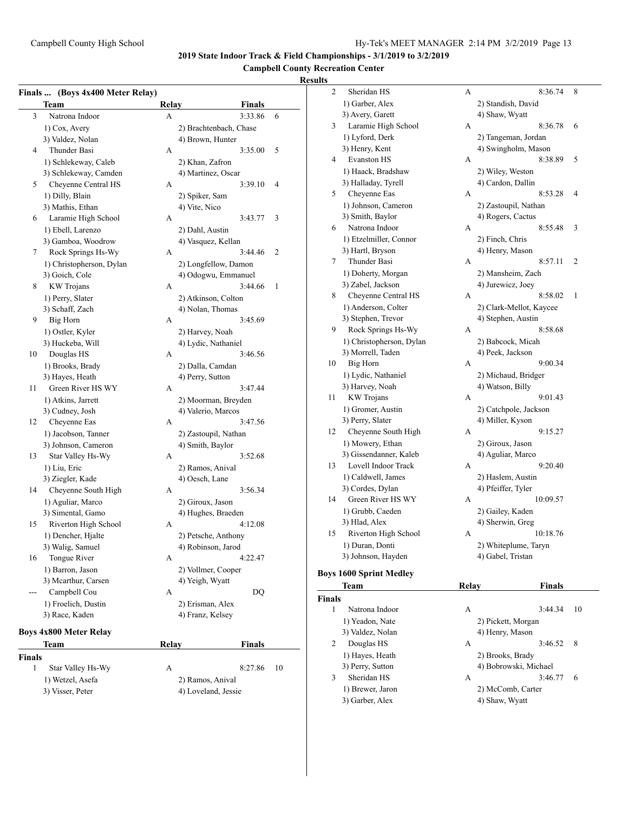## **Campbell County Recreation Center**

## **Results**

|        | Finals  (Boys 4x400 Meter Relay) |       |                                       |    |
|--------|----------------------------------|-------|---------------------------------------|----|
|        | Team                             | Relay | Finals                                |    |
| 3      | Natrona Indoor                   | A     | 3:33.86                               | 6  |
|        | 1) Cox, Avery                    |       | 2) Brachtenbach, Chase                |    |
|        | 3) Valdez, Nolan                 |       | 4) Brown, Hunter                      |    |
| 4      | Thunder Basi                     | A     | 3:35.00                               | 5  |
|        | 1) Schlekeway, Caleb             |       | 2) Khan, Zafron                       |    |
|        | 3) Schlekeway, Camden            |       | 4) Martinez, Oscar                    |    |
| 5      | Cheyenne Central HS              | A     | 3:39.10                               | 4  |
|        | 1) Dilly, Blain                  |       | 2) Spiker, Sam                        |    |
|        | 3) Mathis, Ethan                 |       | 4) Vite, Nico                         |    |
| 6      | Laramie High School              | A     | 3:43.77                               | 3  |
|        | 1) Ebell, Larenzo                |       | 2) Dahl, Austin                       |    |
|        | 3) Gamboa, Woodrow               |       | 4) Vasquez, Kellan                    |    |
| 7      | Rock Springs Hs-Wy               | A     | 3:44.46                               | 2  |
|        | 1) Christopherson, Dylan         |       | 2) Longfellow, Damon                  |    |
|        | 3) Goich, Cole                   |       | 4) Odogwu, Emmanuel                   |    |
| 8      | <b>KW</b> Trojans                | A     | 3:44.66                               | 1  |
|        |                                  |       |                                       |    |
|        | 1) Perry, Slater                 |       | 2) Atkinson, Colton                   |    |
|        | 3) Schaff, Zach                  |       | 4) Nolan, Thomas                      |    |
| 9      | Big Horn                         | A     | 3:45.69                               |    |
|        | 1) Ostler, Kyler                 |       | 2) Harvey, Noah                       |    |
|        | 3) Huckeba, Will                 |       | 4) Lydic, Nathaniel                   |    |
| 10     | Douglas HS                       | A     | 3:46.56                               |    |
|        | 1) Brooks, Brady                 |       | 2) Dalla, Camdan                      |    |
|        | 3) Hayes, Heath                  |       | 4) Perry, Sutton                      |    |
| 11     | Green River HS WY                | A     | 3:47.44                               |    |
|        | 1) Atkins, Jarrett               |       | 2) Moorman, Breyden                   |    |
|        | 3) Cudney, Josh                  |       | 4) Valerio, Marcos                    |    |
| 12     | Cheyenne Eas                     | A     | 3:47.56                               |    |
|        | 1) Jacobson, Tanner              |       | 2) Zastoupil, Nathan                  |    |
|        | 3) Johnson, Cameron              |       | 4) Smith, Baylor                      |    |
| 13     | Star Valley Hs-Wy                | A     | 3:52.68                               |    |
|        | 1) Liu, Eric                     |       | 2) Ramos, Anival                      |    |
|        | 3) Ziegler, Kade                 |       | 4) Oesch, Lane                        |    |
| 14     | Cheyenne South High              | A     | 3:56.34                               |    |
|        | 1) Aguliar, Marco                |       | 2) Giroux, Jason                      |    |
|        | 3) Simental, Gamo                |       | 4) Hughes, Braeden                    |    |
| 15     | Riverton High School             | A     | 4:12.08                               |    |
|        | 1) Dencher, Hjalte               |       | 2) Petsche, Anthony                   |    |
|        | 3) Walig, Samuel                 |       | 4) Robinson, Jarod                    |    |
| 16     | Tongue River                     | A     | 4:22.47                               |    |
|        | 1) Barron, Jason                 |       |                                       |    |
|        | 3) Mcarthur, Carsen              |       | 2) Vollmer, Cooper<br>4) Yeigh, Wyatt |    |
|        |                                  |       |                                       |    |
|        | Campbell Cou                     | А     | DQ                                    |    |
|        | 1) Froelich, Dustin              |       | 2) Erisman, Alex                      |    |
|        | 3) Race, Kaden                   |       | 4) Franz, Kelsey                      |    |
|        | <b>Boys 4x800 Meter Relay</b>    |       |                                       |    |
|        | Team                             | Relay | <b>Finals</b>                         |    |
| Finals |                                  |       |                                       |    |
| 1      | Star Valley Hs-Wy                | A     | 8:27.86                               | 10 |
|        | 1) Wetzel, Asefa                 |       | 2) Ramos, Anival                      |    |
|        | 3) Visser, Peter                 |       | 4) Loveland, Jessie                   |    |

| <b>Team</b>              | Relay       | Finals                  |         |
|--------------------------|-------------|-------------------------|---------|
| ys 1600 Sprint Medley    |             |                         |         |
| 3) Johnson, Hayden       |             | 4) Gabel, Tristan       |         |
| 1) Duran, Donti          |             | 2) Whiteplume, Taryn    |         |
| Riverton High School     | А           | 10:18.76                |         |
| 3) Hlad, Alex            |             | 4) Sherwin, Greg        |         |
| 1) Grubb, Caeden         |             | 2) Gailey, Kaden        |         |
| Green River HS WY        | A           | 10:09.57                |         |
| 3) Cordes, Dylan         |             | 4) Pfeiffer, Tyler      |         |
| 1) Caldwell, James       |             | 2) Haslem, Austin       |         |
| Lovell Indoor Track      | А           | 9:20.40                 |         |
| 3) Gissendanner, Kaleb   |             | 4) Aguliar, Marco       |         |
| 1) Mowery, Ethan         |             | 2) Giroux, Jason        |         |
| Cheyenne South High      | А           | 9:15.27                 |         |
| 3) Perry, Slater         |             | 4) Miller, Kyson        |         |
| 1) Gromer, Austin        |             | 2) Catchpole, Jackson   |         |
| <b>KW</b> Trojans        | А           | 9:01.43                 |         |
| 3) Harvey, Noah          |             | 4) Watson, Billy        |         |
| 1) Lydic, Nathaniel      |             | 2) Michaud, Bridger     |         |
| Big Horn                 | А           | 9:00.34                 |         |
| 3) Morrell, Taden        |             | 4) Peek, Jackson        |         |
| 1) Christopherson, Dylan |             | 2) Babcock, Micah       |         |
| Rock Springs Hs-Wy       | А           | 8:58.68                 |         |
| 3) Stephen, Trevor       |             | 4) Stephen, Austin      |         |
| 1) Anderson, Colter      |             | 2) Clark-Mellot, Kaycee |         |
| Cheyenne Central HS      | А           | 8:58.02                 | 1       |
| 3) Zabel, Jackson        |             | 4) Jurewicz, Joey       |         |
| 1) Doherty, Morgan       |             | 2) Mansheim, Zach       |         |
| Thunder Basi             | A           | 8:57.11                 | 2       |
| 3) Hartl, Bryson         |             | 4) Henry, Mason         |         |
| 1) Etzelmiller, Connor   |             | 2) Finch, Chris         |         |
| Natrona Indoor           | A           | 8:55.48                 | 3       |
| 3) Smith, Baylor         |             | 4) Rogers, Cactus       |         |
| 1) Johnson, Cameron      |             | 2) Zastoupil, Nathan    |         |
| Cheyenne Eas             | А           | 8:53.28                 |         |
| 3) Halladay, Tyrell      |             | 4) Cardon, Dallin       | 4       |
| 1) Haack, Bradshaw       |             | 2) Wiley, Weston        |         |
| <b>Evanston HS</b>       | А           | 8:38.89                 | 5       |
| 3) Henry, Kent           |             | 4) Swingholm, Mason     |         |
| 1) Lyford, Derk          |             | 2) Tangeman, Jordan     |         |
| Laramie High School      | А           | 8:36.78                 | 6       |
| 3) Avery, Garett         |             | 4) Shaw, Wyatt          |         |
| 1) Garber, Alex          |             | 2) Standish, David      |         |
|                          |             |                         | 8       |
|                          |             |                         |         |
|                          | Sheridan HS | А                       | 8:36.74 |

## **Boys**

| <b>Finals</b> |                  |                       |         |    |
|---------------|------------------|-----------------------|---------|----|
|               | Natrona Indoor   | A                     | 3:44.34 | 10 |
|               | 1) Yeadon, Nate  | 2) Pickett, Morgan    |         |    |
|               | 3) Valdez, Nolan | 4) Henry, Mason       |         |    |
| 2             | Douglas HS       | А                     | 3:46.52 | 8  |
|               | 1) Hayes, Heath  | 2) Brooks, Brady      |         |    |
|               | 3) Perry, Sutton | 4) Bobrowski, Michael |         |    |
| 3             | Sheridan HS      | А                     | 3:46.77 | 6  |
|               | 1) Brewer, Jaron | 2) McComb, Carter     |         |    |
|               | 3) Garber, Alex  | 4) Shaw, Wyatt        |         |    |
|               |                  |                       |         |    |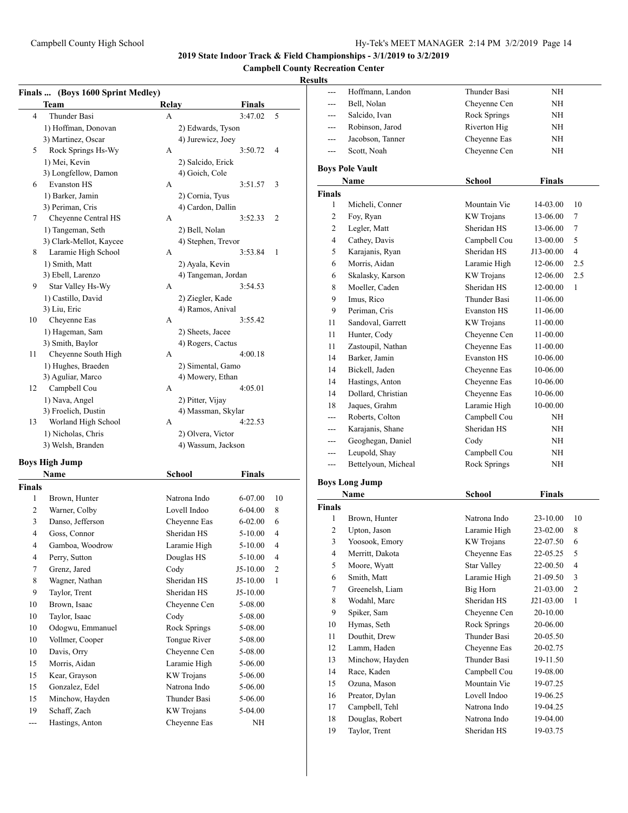## **Campbell County Recreation Center**

## **Results**

| Finals  (Boys 1600 Sprint Medley) |                         |                     |             |                |
|-----------------------------------|-------------------------|---------------------|-------------|----------------|
|                                   | Team                    | Relay               | Finals      |                |
| 4                                 | Thunder Basi            | A                   | 3:47.02     | 5              |
|                                   | 1) Hoffman, Donovan     | 2) Edwards, Tyson   |             |                |
|                                   | 3) Martinez, Oscar      | 4) Jurewicz, Joey   |             |                |
| 5                                 | Rock Springs Hs-Wy      | A                   | 3:50.72     | 4              |
|                                   | 1) Mei, Kevin           | 2) Salcido, Erick   |             |                |
|                                   | 3) Longfellow, Damon    | 4) Goich, Cole      |             |                |
| 6                                 | <b>Evanston HS</b>      | A                   | 3:51.57     | 3              |
|                                   | 1) Barker, Jamin        | 2) Cornia, Tyus     |             |                |
|                                   | 3) Periman, Cris        | 4) Cardon, Dallin   |             |                |
| 7                                 | Cheyenne Central HS     | A                   | 3:52.33     | 2              |
|                                   | 1) Tangeman, Seth       | 2) Bell, Nolan      |             |                |
|                                   | 3) Clark-Mellot, Kaycee | 4) Stephen, Trevor  |             |                |
| 8                                 | Laramie High School     | A                   | 3:53.84     | 1              |
|                                   | 1) Smith, Matt          | 2) Ayala, Kevin     |             |                |
|                                   | 3) Ebell, Larenzo       | 4) Tangeman, Jordan |             |                |
| 9                                 | Star Valley Hs-Wy       | A                   | 3:54.53     |                |
|                                   | 1) Castillo, David      | 2) Ziegler, Kade    |             |                |
|                                   | 3) Liu, Eric            | 4) Ramos, Anival    |             |                |
| 10                                | Cheyenne Eas            | A                   | 3:55.42     |                |
|                                   | 1) Hageman, Sam         | 2) Sheets, Jacee    |             |                |
|                                   | 3) Smith, Baylor        | 4) Rogers, Cactus   |             |                |
| 11                                | Cheyenne South High     | A                   | 4:00.18     |                |
|                                   | 1) Hughes, Braeden      | 2) Simental, Gamo   |             |                |
|                                   | 3) Aguliar, Marco       | 4) Mowery, Ethan    |             |                |
| 12                                | Campbell Cou            | A                   | 4:05.01     |                |
|                                   | 1) Nava, Angel          | 2) Pitter, Vijay    |             |                |
|                                   | 3) Froelich, Dustin     | 4) Massman, Skylar  |             |                |
| 13                                | Worland High School     | A                   | 4:22.53     |                |
|                                   | 1) Nicholas, Chris      | 2) Olvera, Victor   |             |                |
|                                   | 3) Welsh, Branden       | 4) Wassum, Jackson  |             |                |
|                                   | <b>Boys High Jump</b>   |                     |             |                |
|                                   | Name                    | <b>School</b>       | Finals      |                |
|                                   |                         |                     |             |                |
| <b>Finals</b><br>1                |                         | Natrona Indo        |             | 10             |
|                                   | Brown, Hunter           |                     | 6-07.00     |                |
| 2                                 | Warner, Colby           | Lovell Indoo        | 6-04.00     | 8              |
| 3                                 | Danso, Jefferson        | Cheyenne Eas        | $6 - 02.00$ | 6              |
| 4                                 | Goss, Connor            | Sheridan HS         | 5-10.00     | 4              |
| 4                                 | Gamboa, Woodrow         | Laramie High        | 5-10.00     | $\overline{4}$ |
| $\overline{\mathbf{4}}$           | Perry, Sutton           | Douglas HS          | 5-10.00     | 4              |
| $\tau$                            | Grenz, Jared            | Cody                | J5-10.00    | $\mathfrak{2}$ |
| 8                                 | Wagner, Nathan          | Sheridan HS         | J5-10.00    | 1              |
| 9                                 | Taylor, Trent           | Sheridan HS         | $J5-10.00$  |                |
| 10                                | Brown, Isaac            | Cheyenne Cen        | 5-08.00     |                |
| 10                                | Taylor, Isaac           | Cody                | 5-08.00     |                |
| 10                                | Odogwu, Emmanuel        | Rock Springs        | 5-08.00     |                |
| 10                                | Vollmer, Cooper         | Tongue River        | 5-08.00     |                |
| 10                                | Davis, Orry             | Cheyenne Cen        | 5-08.00     |                |
| 15                                | Morris, Aidan           | Laramie High        | 5-06.00     |                |

15 Kear, Grayson KW Trojans 5-06.00 15 Gonzalez, Edel Natrona Indo 5-06.00 15 Minchow, Hayden Thunder Basi 5-06.00 19 Schaff, Zach KW Trojans 5-04.00 --- Hastings, Anton Cheyenne Eas NH

| $---$         | Hoffmann, Landon       | Thunder Basi        | NΗ            |                |
|---------------|------------------------|---------------------|---------------|----------------|
|               | Bell, Nolan            | Cheyenne Cen        | NΗ            |                |
|               | Salcido, Ivan          | Rock Springs        | NΗ            |                |
| ---           | Robinson, Jarod        | Riverton Hig        | NΗ            |                |
|               | Jacobson, Tanner       | Cheyenne Eas        | NΗ            |                |
| ---           | Scott, Noah            | Cheyenne Cen        | NΗ            |                |
|               | <b>Boys Pole Vault</b> |                     |               |                |
|               | Name                   | School              | <b>Finals</b> |                |
| <b>Finals</b> |                        |                     |               |                |
| 1             | Micheli, Conner        | Mountain Vie        | 14-03.00      | 10             |
| 2             | Foy, Ryan              | <b>KW</b> Trojans   | 13-06.00      | 7              |
| 2             | Legler, Matt           | Sheridan HS         | 13-06.00      | 7              |
| 4             | Cathey, Davis          | Campbell Cou        |               | 5              |
|               |                        | Sheridan HS         | 13-00.00      |                |
| 5             | Karajanis, Ryan        |                     | J13-00.00     | 4              |
| 6             | Morris, Aidan          | Laramie High        | 12-06.00      | 2.5            |
| 6             | Skalasky, Karson       | <b>KW</b> Trojans   | 12-06.00      | 2.5            |
| 8             | Moeller, Caden         | Sheridan HS         | 12-00.00      | 1              |
| 9             | Imus, Rico             | <b>Thunder Basi</b> | 11-06.00      |                |
| 9             | Periman, Cris          | <b>Evanston HS</b>  | 11-06.00      |                |
| 11            | Sandoval, Garrett      | <b>KW</b> Trojans   | 11-00.00      |                |
| 11            | Hunter, Cody           | Cheyenne Cen        | 11-00.00      |                |
| 11            | Zastoupil, Nathan      | Cheyenne Eas        | 11-00.00      |                |
| 14            | Barker, Jamin          | <b>Evanston HS</b>  | 10-06.00      |                |
| 14            | Bickell, Jaden         | Cheyenne Eas        | 10-06.00      |                |
| 14            | Hastings, Anton        | Cheyenne Eas        | 10-06.00      |                |
| 14            | Dollard, Christian     | Cheyenne Eas        | 10-06.00      |                |
| 18            | Jaques, Grahm          | Laramie High        | 10-00.00      |                |
|               | Roberts, Colton        | Campbell Cou        | NΗ            |                |
| ---           | Karajanis, Shane       | Sheridan HS         | NΗ            |                |
| ---           | Geoghegan, Daniel      | Cody                | NΗ            |                |
| $---$         | Leupold, Shay          | Campbell Cou        | NΗ            |                |
| ---           | Bettelyoun, Micheal    | Rock Springs        | NΗ            |                |
|               | <b>Boys Long Jump</b>  |                     |               |                |
|               | Name                   | School              | <b>Finals</b> |                |
| <b>Finals</b> |                        |                     |               |                |
| 1             | Brown, Hunter          | Natrona Indo        | 23-10.00      | 10             |
| 2             | Upton, Jason           | Laramie High        | 23-02.00      | 8              |
| 3             | Yoosook, Emory         | KW Trojans          | 22-07.50      | 6              |
| 4             | Merritt, Dakota        | Cheyenne Eas        | 22-05.25      | 5              |
| 5             | Moore, Wyatt           | <b>Star Valley</b>  | 22-00.50      | 4              |
| 6             | Smith, Matt            | Laramie High        | 21-09.50      | 3              |
| 7             | Greenelsh, Liam        | <b>Big Horn</b>     | 21-03.00      | $\mathfrak{2}$ |
| 8             | Wodahl, Marc           | Sheridan HS         | J21-03.00     | 1              |
| 9             | Spiker, Sam            | Cheyenne Cen        | 20-10.00      |                |
| 10            | Hymas, Seth            | Rock Springs        | 20-06.00      |                |
| 11            | Douthit, Drew          | Thunder Basi        | 20-05.50      |                |
| 12            | Lamm, Haden            | Chevenne Eas        | 20-02.75      |                |
| 13            | Minchow, Hayden        | <b>Thunder Basi</b> | 19-11.50      |                |
| 14            | Race, Kaden            | Campbell Cou        | 19-08.00      |                |
| 15            | Ozuna, Mason           | Mountain Vie        | 19-07.25      |                |
|               | Preator, Dylan         | Lovell Indoo        |               |                |
| 16<br>17      | Campbell, Tehl         | Natrona Indo        | 19-06.25      |                |
|               |                        | Natrona Indo        | 19-04.25      |                |
| 18            | Douglas, Robert        |                     | 19-04.00      |                |
| 19            | Taylor, Trent          | Sheridan HS         | 19-03.75      |                |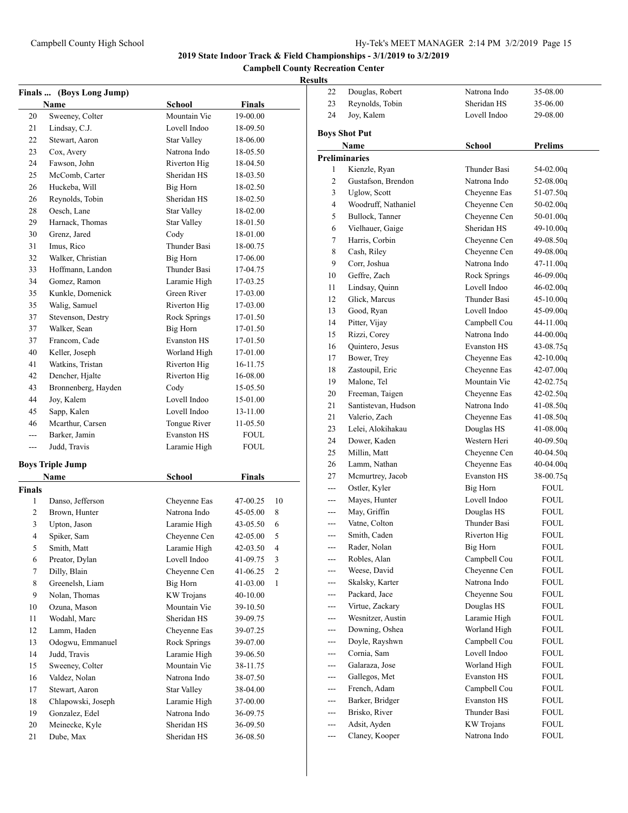**Campbell County Recreation Center**

|               | (Boys Long Jump)        |                     |                      |                |
|---------------|-------------------------|---------------------|----------------------|----------------|
| <b>Finals</b> | Name                    | School              | <b>Finals</b>        |                |
| 20            | Sweeney, Colter         | Mountain Vie        | 19-00.00             |                |
| 21            | Lindsay, C.J.           | Lovell Indoo        | 18-09.50             |                |
| 22            | Stewart, Aaron          | Star Valley         | 18-06.00             |                |
| 23            | Cox, Avery              | Natrona Indo        | 18-05.50             |                |
| 24            | Fawson, John            | Riverton Hig        | 18-04.50             |                |
| 25            | McComb, Carter          | Sheridan HS         | 18-03.50             |                |
| 26            | Huckeba, Will           | Big Horn            | 18-02.50             |                |
| 26            | Reynolds, Tobin         | Sheridan HS         | 18-02.50             |                |
|               | Oesch, Lane             | <b>Star Valley</b>  |                      |                |
| 28<br>29      | Harnack, Thomas         |                     | 18-02.00<br>18-01.50 |                |
|               |                         | <b>Star Valley</b>  |                      |                |
| 30            | Grenz, Jared            | Cody                | 18-01.00             |                |
| 31            | Imus, Rico              | Thunder Basi        | 18-00.75             |                |
| 32            | Walker, Christian       | Big Horn            | 17-06.00             |                |
| 33            | Hoffmann, Landon        | Thunder Basi        | 17-04.75             |                |
| 34            | Gomez, Ramon            | Laramie High        | 17-03.25             |                |
| 35            | Kunkle, Domenick        | Green River         | 17-03.00             |                |
| 35            | Walig, Samuel           | Riverton Hig        | 17-03.00             |                |
| 37            | Stevenson, Destry       | <b>Rock Springs</b> | 17-01.50             |                |
| 37            | Walker, Sean            | <b>Big Horn</b>     | 17-01.50             |                |
| 37            | Francom, Cade           | <b>Evanston HS</b>  | 17-01.50             |                |
| 40            | Keller, Joseph          | Worland High        | 17-01.00             |                |
| 41            | Watkins, Tristan        | Riverton Hig        | 16-11.75             |                |
| 42            | Dencher, Hjalte         | Riverton Hig        | 16-08.00             |                |
| 43            | Bronnenberg, Hayden     | Cody                | 15-05.50             |                |
| 44            | Joy, Kalem              | Lovell Indoo        | 15-01.00             |                |
| 45            | Sapp, Kalen             | Lovell Indoo        | 13-11.00             |                |
| 46            | Mcarthur, Carsen        | Tongue River        | 11-05.50             |                |
| ---           | Barker, Jamin           | <b>Evanston HS</b>  | FOUL                 |                |
| ---           | Judd, Travis            | Laramie High        | FOUL                 |                |
|               | <b>Boys Triple Jump</b> |                     |                      |                |
|               | Name                    | <b>School</b>       | <b>Finals</b>        |                |
| <b>Finals</b> |                         |                     |                      |                |
| 1             | Danso, Jefferson        | Cheyenne Eas        | 47-00.25             | 10             |
| 2             | Brown, Hunter           | Natrona Indo        | 45-05.00             | 8              |
| 3             | Upton, Jason            | Laramie High        | 43-05.50             | 6              |
| 4             | Spiker, Sam             | Cheyenne Cen        | 42-05.00             | 5              |
| 5             | Smith, Matt             | Laramie High        | 42-03.50             | 4              |
| 6             | Preator, Dylan          | Lovell Indoo        | 41-09.75             | 3              |
| $\tau$        | Dilly, Blain            | Chevenne Cen        | 41-06.25             | $\mathfrak{2}$ |
| 8             | Greenelsh, Liam         | Big Horn            | 41-03.00             | 1              |
| 9             | Nolan, Thomas           | <b>KW</b> Trojans   | 40-10.00             |                |
| 10            | Ozuna, Mason            | Mountain Vie        | 39-10.50             |                |
| 11            | Wodahl, Marc            | Sheridan HS         | 39-09.75             |                |
| 12            | Lamm, Haden             | Cheyenne Eas        | 39-07.25             |                |
| 13            | Odogwu, Emmanuel        | Rock Springs        | 39-07.00             |                |
| 14            | Judd, Travis            | Laramie High        | 39-06.50             |                |
| 15            | Sweeney, Colter         | Mountain Vie        | 38-11.75             |                |
| 16            | Valdez, Nolan           | Natrona Indo        | 38-07.50             |                |
| 17            | Stewart, Aaron          | <b>Star Valley</b>  | 38-04.00             |                |
| 18            | Chlapowski, Joseph      | Laramie High        | 37-00.00             |                |
| 19            | Gonzalez, Edel          | Natrona Indo        | 36-09.75             |                |
| 20            | Meinecke, Kyle          | Sheridan HS         | 36-09.50             |                |
| 21            | Dube, Max               | Sheridan HS         | 36-08.50             |                |
|               |                         |                     |                      |                |

| ,,,,, |                               |                              |                |
|-------|-------------------------------|------------------------------|----------------|
| 22    | Douglas, Robert               | Natrona Indo                 | 35-08.00       |
| 23    | Reynolds, Tobin               | Sheridan HS                  | 35-06.00       |
| 24    | Joy, Kalem                    | Lovell Indoo                 | 29-08.00       |
|       | <b>Boys Shot Put</b>          |                              |                |
|       | Name                          | School                       | <b>Prelims</b> |
|       | <b>Preliminaries</b>          |                              |                |
| 1     | Kienzle, Ryan                 | Thunder Basi                 | 54-02.00q      |
| 2     | Gustafson, Brendon            | Natrona Indo                 | $52-08.00q$    |
| 3     | Uglow, Scott                  | Cheyenne Eas                 | $51-07.50q$    |
| 4     | Woodruff, Nathaniel           | Cheyenne Cen                 | $50-02.00q$    |
| 5     | Bullock, Tanner               | Cheyenne Cen                 | $50-01.00q$    |
| 6     | Vielhauer, Gaige              | Sheridan HS                  | 49-10.00q      |
| 7     | Harris, Corbin                | Cheyenne Cen                 | 49-08.50q      |
| 8     | Cash, Riley                   | Cheyenne Cen                 | 49-08.00g      |
| 9     | Corr, Joshua                  | Natrona Indo                 | $47-11.00q$    |
| 10    | Geffre, Zach                  | Rock Springs                 | $46-09.00q$    |
| 11    | Lindsay, Quinn                | Lovell Indoo                 | $46 - 02.00q$  |
| 12    | Glick, Marcus                 | Thunder Basi                 | $45-10.00q$    |
| 13    | Good, Ryan                    | Lovell Indoo                 |                |
| 14    |                               |                              | $45-09.00q$    |
| 15    | Pitter, Vijay<br>Rizzi, Corey | Campbell Cou<br>Natrona Indo | 44-11.00g      |
|       |                               |                              | $44-00.00q$    |
| 16    | Quintero, Jesus               | <b>Evanston HS</b>           | 43-08.75g      |
| 17    | Bower, Trey                   | Chevenne Eas                 | $42 - 10.00q$  |
| 18    | Zastoupil, Eric               | Cheyenne Eas                 | $42 - 07.00q$  |
| 19    | Malone, Tel                   | Mountain Vie                 | 42-02.75q      |
| 20    | Freeman, Taigen               | Chevenne Eas                 | $42 - 02.50q$  |
| 21    | Santistevan, Hudson           | Natrona Indo                 | $41-08.50q$    |
| 21    | Valerio, Zach                 | Cheyenne Eas                 | $41 - 08.50q$  |
| 23    | Lelei, Alokihakau             | Douglas HS                   | $41 - 08.00q$  |
| 24    | Dower, Kaden                  | Western Heri                 | $40 - 09.50q$  |
| 25    | Millin, Matt                  | Cheyenne Cen                 | 40-04.50q      |
| 26    | Lamm, Nathan                  | Cheyenne Eas                 | $40-04.00q$    |
| 27    | Mcmurtrey, Jacob              | <b>Evanston HS</b>           | 38-00.75q      |
|       | Ostler, Kyler                 | Big Horn                     | FOUL           |
|       | Mayes, Hunter                 | Lovell Indoo                 | <b>FOUL</b>    |
| ---   | May, Griffin                  | Douglas HS                   | FOUL           |
| ---   | Vatne, Colton                 | <b>Thunder Basi</b>          | FOUL           |
| ---   | Smith, Caden                  | Riverton Hig                 | FOUL           |
| ---   | Rader, Nolan                  | <b>Big Horn</b>              | <b>FOUL</b>    |
|       | Robles, Alan                  | Campbell Cou                 | FOUL           |
|       | Weese, David                  | Cheyenne Cen                 | FOUL           |
| ---   | Skalsky, Karter               | Natrona Indo                 | FOUL           |
|       | Packard, Jace                 | Cheyenne Sou                 | FOUL           |
| ---   | Virtue, Zackary               | Douglas HS                   | FOUL           |
| ---   | Wesnitzer, Austin             | Laramie High                 | FOUL           |
| ---   | Downing, Oshea                | Worland High                 | FOUL           |
|       | Doyle, Rayshwn                | Campbell Cou                 | FOUL           |
| ---   | Cornia, Sam                   | Lovell Indoo                 | FOUL           |
| ---   | Galaraza, Jose                | Worland High                 | FOUL           |
| ---   | Gallegos, Met                 | <b>Evanston HS</b>           | FOUL           |
| ---   | French, Adam                  | Campbell Cou                 | FOUL           |
|       | Barker, Bridger               | <b>Evanston HS</b>           | FOUL           |
|       | Brisko, River                 | Thunder Basi                 | FOUL           |
| ---   | Adsit, Ayden                  | <b>KW</b> Trojans            | FOUL           |
|       | Claney, Kooper                | Natrona Indo                 | FOUL           |